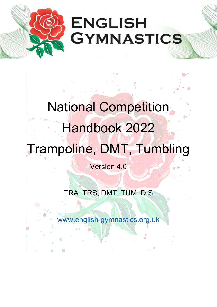

# National Competition Handbook 2022 Trampoline, DMT, Tumbling

Version 4.0

TRA, TRS, DMT, TUM, DIS

[www.english-gymnastics.org.uk](http://www.english-gymnastics.org.uk/)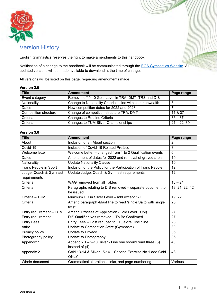![](_page_1_Picture_0.jpeg)

### Version History

English Gymnastics reserves the right to make amendments to this handbook.

Notification of a change to the handbook will be communicated through the EGA [Gymnastics Website.](http://www.englishgymnastics.org.uk/) All updated versions will be made available to download at the time of change.

All versions will be listed on this page, regarding amendments made:

### **Version 2.0**

| <b>Title</b>          | <b>Amendment</b>                                         | Page range    |
|-----------------------|----------------------------------------------------------|---------------|
| Event category        | Removal off 9-10 Gold Level in TRA, DMT, TRS and DIS     |               |
| Nationality           | Change to Nationality Criteria in line with commonwealth | 8             |
| Dates                 | New competition dates for 2022 and 2023                  |               |
| Competition structure | Change of competition structure TRA, DMT                 | 11 & 37       |
| Criteria              | Changes to Routine Criteria                              | $36 - 37$     |
| Criteria              | Changes to TUM Silver Championships                      | $21 - 22, 39$ |

### **Version 3.0**

| <b>Title</b>            | <b>Amendment</b>                                              | Page range     |
|-------------------------|---------------------------------------------------------------|----------------|
| About                   | Inclusion of an About section                                 | $\overline{2}$ |
| Covid-19                | Inclusion of Covid-19 Related Preface                         | 3              |
| Welcome letter          | Welcome Letter - changed from 1 to 2 Qualification events     | 6              |
| Dates                   | Amendment of dates for 2022 and removal of greyed area        | 10             |
| Nationality             | <b>Update Nationality Clause</b>                              | 10             |
| Trans People in Sport   | Inclusion of the Policy for the Participation of Trans People | 12             |
| Judge, Coach & Gymnast  | Update Judge, Coach & Gymnast requirements                    | 12             |
| requirements            |                                                               |                |
| Criteria                | WAG removed from all Tables                                   | $18 - 24$      |
| Criteria                | Paragraphs relating to DIS removed - separate document to     | 18, 21, 22, 42 |
|                         | be issued                                                     |                |
| Criteria - TUM          | Minimum DD in Silver Level - add except 17+                   | 19, 22         |
| Criteria                | Amend paragraph 4/last line to read 'single Salto with single | 26             |
|                         | twist'                                                        |                |
| Entry requirement - TUM | Amend Process of Application (Gold Level TUM)                 | 27             |
| Entry requirement       | DIS Qualifier Nos removed - To Be Confirmed                   | 27             |
| <b>Entry Fees</b>       | Entry Fees - Cost reduced to £10/extra Discipline             | 28             |
| Attire                  | Update to Competition Attire (Gymnasts)                       | 30             |
| Privacy policy          | Update to Privacy                                             | 35             |
| Photography policy      | Update to Photography                                         | 35             |
| Appendix 1              | Appendix 1 - 9-10 Silver - Line one should read three (3)     | 40             |
|                         | instead of (4)                                                |                |
| Appendix 2              | Gold 13-14 & Silver 15-16 - Second Exercise No 1 add Gold     | 43             |
|                         | <b>ONLY</b>                                                   |                |
| Whole document          | Grammatical alterations, links, and page numbering            | Various        |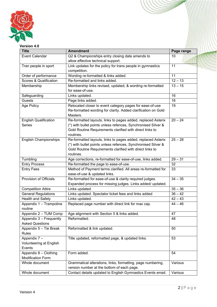![](_page_2_Picture_0.jpeg)

### **Version 4.0**

| <b>Title</b>                      | <b>Amendment</b>                                              | Page range |
|-----------------------------------|---------------------------------------------------------------|------------|
| <b>Event Calendar</b>             | Q2 & Championships entry closing date amends to               | 10         |
|                                   | allow effective technical support.                            |            |
| Tran people in sport              | Link updates for the policy for trans people in gymnastics    | 11         |
|                                   | competition.                                                  |            |
| Order of performance              | Wording re-formatted & links added.                           | 11         |
| <b>Scores &amp; Qualification</b> | Re-formatted and links added.                                 | $12 - 13$  |
| Membership                        | Membership links revised, updated, & wording re-formatted     | $13 - 15$  |
|                                   | for ease-of-use.                                              |            |
| Safeguarding                      | Links updated.                                                | 16         |
| Guests                            | Page links added.                                             | 16         |
| Age Policy                        | Relocated closer to event category pages for ease-of-use      | 19         |
|                                   | Re-formatted wording for clarity. Added clarification on Gold |            |
|                                   | Masters.                                                      |            |
| <b>English Qualification</b>      | Re-formatted layouts, links to pages added, replaced Asterix  | $20 - 24$  |
| <b>Series</b>                     | (*) with bullet points unless refences, Synchronised Silver & |            |
|                                   | Gold Routine Requirements clarified with direct links to      |            |
|                                   | routines.                                                     |            |
| <b>English Championships</b>      | Re-formatted layouts, links to pages added, replaced Asterix  | $25 - 28$  |
|                                   | (*) with bullet points unless refences, Synchronised Silver & |            |
|                                   | Gold Routine Requirements clarified with direct links to      |            |
|                                   | routines.                                                     |            |
| Tumbling                          | Age corrections, re-formatted for ease-of-use, links added.   | $29 - 31$  |
| <b>Entry Process</b>              | Re-formatted the page to ease-of-use.                         | 32         |
| <b>Entry Fees</b>                 | Method of Payment terms clarified. All areas re-formatted for | 33         |
|                                   | ease-of-use & updated links.                                  |            |
| Provision of Officials            | Re-formatted for ease-of-use & clarity required judges.       | $34 - 35$  |
|                                   | Expanded process for missing judges. Links added/ updated.    |            |
| <b>Competition Attire</b>         | Links updated.                                                | $35 - 36$  |
| <b>General Regulations</b>        | Links updated. Spectator ticket fees and links added          | $36 - 42$  |
| <b>Health and Safety</b>          | Links updated.                                                | $42 - 43$  |
| Appendix 1 - Trampoline           | Replaced page number with direct link for max cap.            | $44 - 46$  |
| routine                           |                                                               |            |
| Appendix 2 - TUM Comp             | Age alignment with Section 5 & links added.                   | 47         |
| Appendix 3 - Frequently           | Reformatted.                                                  | 48         |
| <b>Asked Questions</b>            |                                                               |            |
| Appendix 5 - Tie Break            | Reformatted & link updated.                                   | 50         |
| <b>Rules</b>                      |                                                               |            |
| Appendix 7 -                      | Title updated, reformatted page, & updated links.             | 53         |
| Volunteering at English           |                                                               |            |
| Events                            |                                                               |            |
| Appendix 8 - Clothing             | Form added.                                                   | 54         |
| <b>Modification Form</b>          |                                                               |            |
| Whole document                    | Grammatical alterations, links, formatting, page numbering,   | Various    |
|                                   | version number at the bottom of each page.                    |            |
| Whole document                    | Contact details updated to English Gymnastics Events email.   | Various    |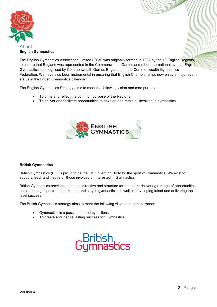![](_page_3_Picture_0.jpeg)

### <span id="page-3-0"></span>About **English Gymnastics**

The English Gymnastics Association Limited (EGA) was originally formed in 1982 by the 10 English Regions, to ensure that England was represented in the Commonwealth Games and other International events. English Gymnastics is recognised by Commonwealth Games England and the Commonwealth Gymnastics Federation. We have also been instrumental in ensuring that English Championships now enjoy a major event status in the British Gymnastics calendar.

The English Gymnastics Strategy aims to meet the following vision and core purpose:

- To unite and reflect the common purpose of the Regions
- To deliver and facilitate opportunities to develop and retain all involved in gymnastics

![](_page_3_Picture_6.jpeg)

### **British Gymnastics**

British Gymnastics (BG) is proud to be the UK Governing Body for the sport of Gymnastics. We exist to support, lead, and inspire all those involved or interested in Gymnastics.

British Gymnastics provides a national directive and structure for the sport; delivering a range of opportunities across the age spectrum to take part and stay in gymnastics, as well as developing talent and delivering toplevel success.

The British Gymnastics strategy aims to meet the following vision and core purpose:

- Gymnastics is a passion shared by millions
- To create and inspire lasting success for Gymnastics

![](_page_3_Picture_13.jpeg)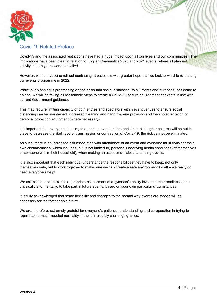![](_page_4_Picture_0.jpeg)

### <span id="page-4-0"></span>Covid-19 Related Preface

Covid-19 and the associated restrictions have had a huge impact upon all our lives and our communities. The implications have been clear in relation to English Gymnastics 2020 and 2021 events, where all planned activity in both years were cancelled.

However, with the vaccine roll-out continuing at pace, it is with greater hope that we look forward to re-starting our events programme in 2022.

Whilst our planning is progressing on the basis that social distancing, to all intents and purposes, has come to an end, we will be taking all reasonable steps to create a Covid-19 secure environment at events in line with current Government guidance.

This may require limiting capacity of both entries and spectators within event venues to ensure social distancing can be maintained, increased cleaning and hand hygiene provision and the implementation of personal protection equipment (where necessary).

It is important that everyone planning to attend an event understands that, although measures will be put in place to decrease the likelihood of transmission or contraction of Covid-19, the risk cannot be eliminated.

As such, there is an increased risk associated with attendance at an event and everyone must consider their own circumstances, which includes (but is not limited to) personal underlying health conditions (of themselves or someone within their household), when making an assessment about attending events.

It is also important that each individual understands the responsibilities they have to keep, not only themselves safe, but to work together to make sure we can create a safe environment for all – we really do need everyone's help!

We ask coaches to make the appropriate assessment of a gymnast's ability level and their readiness, both physically and mentally, to take part in future events, based on your own particular circumstances.

It is fully acknowledged that some flexibility and changes to the normal way events are staged will be necessary for the foreseeable future.

We are, therefore, extremely grateful for everyone's patience, understanding and co-operation in trying to regain some much-needed normality in these incredibly challenging times.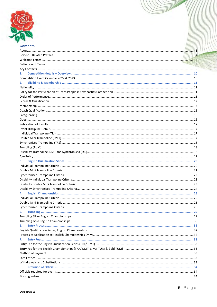![](_page_5_Picture_0.jpeg)

| uulleillo |  |
|-----------|--|
|           |  |
|           |  |
|           |  |
|           |  |
|           |  |
| 1.        |  |
|           |  |
| 2.        |  |
|           |  |
|           |  |
|           |  |
|           |  |
|           |  |
|           |  |
|           |  |
|           |  |
|           |  |
|           |  |
|           |  |
|           |  |
|           |  |
|           |  |
|           |  |
|           |  |
| з.        |  |
|           |  |
|           |  |
|           |  |
|           |  |
|           |  |
|           |  |
|           |  |
|           |  |
|           |  |
|           |  |
|           |  |
| 5.        |  |
|           |  |
|           |  |
| 6.        |  |
|           |  |
|           |  |
| 7.        |  |
|           |  |
|           |  |
|           |  |
|           |  |
|           |  |
| 8.        |  |
|           |  |
|           |  |
|           |  |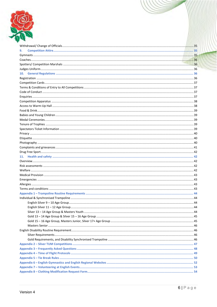![](_page_6_Picture_0.jpeg)

| 9.  |  |
|-----|--|
|     |  |
|     |  |
|     |  |
|     |  |
| 10. |  |
|     |  |
|     |  |
|     |  |
|     |  |
|     |  |
|     |  |
|     |  |
|     |  |
|     |  |
|     |  |
|     |  |
|     |  |
|     |  |
|     |  |
|     |  |
|     |  |
|     |  |
| 11. |  |
|     |  |
|     |  |
|     |  |
|     |  |
|     |  |
|     |  |
|     |  |
|     |  |
|     |  |
|     |  |
|     |  |
|     |  |
|     |  |
|     |  |
|     |  |
|     |  |
|     |  |
|     |  |
|     |  |
|     |  |
|     |  |
|     |  |
|     |  |
|     |  |
|     |  |
|     |  |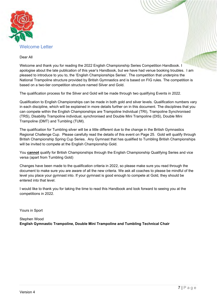![](_page_7_Picture_0.jpeg)

### <span id="page-7-0"></span>Dear All

Welcome and thank you for reading the 2022 English Championship Series Competition Handbook. I apologise about the late publication of this year's Handbook, but we have had venue booking troubles. I am pleased to introduce to you to, the 'English Championships Series'. The competition that underpins the National Trampoline structure provided by British Gymnastics and is based on FIG rules. The competition is based on a two-tier competition structure named Silver and Gold.

The qualification process for the Silver and Gold will be made through two qualifying Events in 2022.

Qualification to English Championships can be made in both gold and silver levels. Qualification numbers vary in each discipline, which will be explained in more details further on in this document. The disciplines that you can compete within the English Championships are Trampoline Individual (TRI), Trampoline Synchronised (TRS), Disability Trampoline individual, synchronised and Double Mini Trampoline (DIS), Double Mini Trampoline (DMT) and Tumbling (TUM).

The qualification for Tumbling silver will be a little different due to the change in the British Gymnastics Regional Challenge Cup. Please carefully read the details of this event on Page 25. Gold will qualify through British Championship Spring Cup Series. Any Gymnast that has qualified to Tumbling British Championships will be invited to compete at the English Championship Gold.

You **cannot** qualify for British Championships through the English Championship Qualifying Series and vice versa (apart from Tumbling Gold)

Changes have been made to the qualification criteria in 2022, so please make sure you read through the document to make sure you are aware of all the new criteria. We ask all coaches to please be mindful of the level you place your gymnast into. If your gymnast is good enough to compete at Gold, they should be entered into that level.

I would like to thank you for taking the time to read this Handbook and look forward to seeing you at the competitions in 2022.

Yours in Sport

Stephen Wood **English Gymnastic Trampoline, Double Mini Trampoline and Tumbling Technical Chair**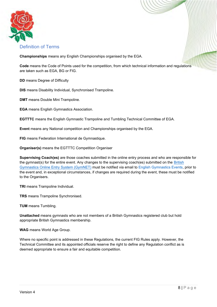![](_page_8_Picture_0.jpeg)

### <span id="page-8-0"></span>Definition of Terms

**Championships** means any English Championships organised by the EGA.

**Code** means the Code of Points used for the competition, from which technical information and regulations are taken such as EGA, BG or FIG.

**DD** means Degree of Difficulty

**DIS** means Disability Individual, Synchronised Trampoline.

**DMT** means Double Mini Trampoline.

**EGA** means English Gymnastics Association.

**EGTTTC** means the English Gymnastic Trampoline and Tumbling Technical Committee of EGA.

**Event** means any National competition and Championships organised by the EGA.

**FIG** means Federation International de Gymnastique.

**Organiser(s)** means the EGTTTC Competition Organiser

**Supervising Coach(es)** are those coaches submitted in the online entry process and who are responsible for the gymnast(s) for the entire event. Any changes to the supervising coach(es) submitted on the [British](https://www.british-gymnastics.org/gymnet/)  [Gymnastics Online Entry System \(GymNET\)](https://www.british-gymnastics.org/gymnet/) must be notified via email to [English Gymnastics Events,](mailto:engevents@englishgymnastics.org.uk) prior to the event and, in exceptional circumstances, if changes are required during the event, these must be notified to the Organisers.

**TRI** means Trampoline Individual.

**TRS** means Trampoline Synchronised.

**TUM** means Tumbling.

**Unattached** means gymnasts who are not members of a British Gymnastics registered club but hold appropriate British Gymnastics membership.

**WAG** means World Age Group.

Where no specific point is addressed in these Regulations, the current FIG Rules apply. However, the Technical Committee and its appointed officials reserve the right to define any Regulation conflict as is deemed appropriate to ensure a fair and equitable competition.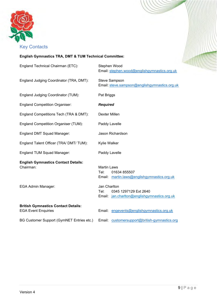![](_page_9_Picture_0.jpeg)

### <span id="page-9-0"></span>**English Gymnastics TRA, DMT & TUM Technical Committee:**

| England Technical Chairman (ETC):                                        | Stephen Wood<br>Email: stephen.wood@englishgymnastics.org.uk                                  |
|--------------------------------------------------------------------------|-----------------------------------------------------------------------------------------------|
| England Judging Coordinator (TRA, DMT):                                  | <b>Steve Sampson</b><br>Email: steve.sampson@englishgymnastics.org.uk                         |
| England Judging Coordinator (TUM):                                       | Pat Briggs                                                                                    |
| <b>England Competition Organiser:</b>                                    | <b>Required</b>                                                                               |
| England Competitions Tech (TRA & DMT):                                   | Dexter Millen                                                                                 |
| <b>England Competition Organiser (TUM):</b>                              | Paddy Lavelle                                                                                 |
| England DMT Squad Manager:                                               | Jason Richardson                                                                              |
| England Talent Officer (TRA/ DMT/ TUM):                                  | Kylie Walker                                                                                  |
| England TUM Squad Manager:                                               | Paddy Lavelle                                                                                 |
| <b>English Gymnastics Contact Details:</b><br>Chairman:                  | <b>Martin Laws</b><br>Tel:<br>01634 855507<br>Email: martin.laws@englishgymnastics.org.uk     |
| EGA Admin Manager:                                                       | Jan Charlton<br>Tel:<br>0345 1297129 Ext 2640<br>Email: jan.charlton@englishgymnastics.org.uk |
| <b>British Gymnastics Contact Details:</b><br><b>EGA Event Enquiries</b> | Email: engevents@englishgymnastics.org.uk                                                     |
| BG Customer Support (GymNET Entries etc.)                                | Email: customersupport@british-gymnastics.org                                                 |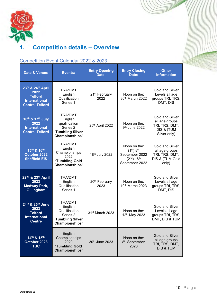![](_page_10_Picture_0.jpeg)

# <span id="page-10-0"></span>**1. Competition details – Overview**

#### <span id="page-10-2"></span>**Date & Venue: Events: Entry Opening Date: Entry Closing Date: Other Information 23rd & 24 th April 2022 Telford International Centre, Telford** TRA/DMT **English** Qualification Series 1 21st February 2022 Noon on the: 30th March 2022 Gold and Silver Levels all age groups TRI, TRS, DMT, DIS **16th & 17 th July 2022 International Centre, Telford** TRA/DMT English qualification Series 2 **'Tumbling Silver Championships'**  $25<sup>th</sup>$  April 2022  $\begin{array}{|c|c|} \hline \text{Noon on the:} \\ \hline \text{Oth, line: } 2022 \end{array}$ 9 th June 2022 Gold and Silver all age groups TRI, TRS, DMT, DIS & (TUM Silver only) **15 th & 16th October 2022 Sheffield EIS** TRA/DMT **English** Championships 2022 **'Tumbling Gold Championships'** 18th July 2022 Noon on the:  $(1<sup>st</sup>)$   $8<sup>th</sup>$ September 2022 (2nd) 16th September 2022 Gold and Silver all age groups TRI, TRS, DMT, DIS & (TUM Gold only) **22 nd & 23rd April 2023 Medway Park, Gillingham** TRA/DMT English Qualification Series 1 20<sup>th</sup> February 2023 Noon on the: 10th March 2023 Gold and Silver Levels all age groups TRI, TRS, DMT, DIS **24th & 25th June 2023 Telford International Centre** TRA/DMT **English** Qualification Series 2 **'Tumbling Silver Championships'**  $31<sup>st</sup>$  March 2023 Noon on the: 12th May 2023 Gold and Silver Levels all age groups TRI, TRS, DMT, DIS & TUM **14th & 15th October 2023 TBC** English Championships 2020 **'Tumbling Gold Championships'** 30th June 2023 Noon on the: 8<sup>th</sup> September 2023 Gold and Silver all age groups TRI, TRS, DMT, DIS & TUM

### <span id="page-10-1"></span>Competition Event Calendar 2022 & 2023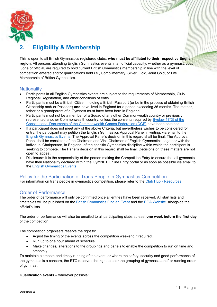![](_page_11_Picture_0.jpeg)

# <span id="page-11-0"></span>**2. Eligibility & Membership**

This is open to all British Gymnastics registered clubs, **who must be affiliated to their respective English region**. All persons attending English Gymnastics events in an official capacity, whether as a gymnast, coach, judge or official, are required to hold current British Gymnastics membership in line with the level of competition entered and/or qualifications held i.e., Complimentary, Silver, Gold, Joint Gold, or Life Membership of British Gymnastics.

### <span id="page-11-1"></span>**Nationality**

- Participants in all English Gymnastics events are subject to the requirements of Membership, Club/ Regional Registration, and other conditions of entry.
- Participants must be a British Citizen, holding a British Passport (or be in the process of obtaining British Citizenship and/ or Passport) **and** have lived in England for a period exceeding 36 months. The mother, father or a grandparent of a Gymnast must have been born in England.
- Participants must not be a member of a Squad of any other Commonwealth country or previously represented another Commonwealth country, unless the consents required by [Byelaw 17\(3\) of the](https://thecgf.com/sites/default/files/2018-03/constitution.pdf)  [Constitutional Documents of the Commonwealth Games Federation \(CGF\)](https://thecgf.com/sites/default/files/2018-03/constitution.pdf) have been obtained.
- If a participant does not meet any of the above Criteria, but nevertheless wishes to be considered for entry, the participant may petition the English Gymnastics Approval Panel in writing, via email to the [English Gymnastics Events.](mailto:engevents@englishgymnastics.org.uk) The Approval Panel's decision in this regard shall be final. The Approval Panel shall be consisted of the Chairman and Vice Chairman of English Gymnastics, together with the individual Chairperson, in England, of the specific Gymnastics discipline within which the participant is seeking to compete. The Panel's decision in this regard shall be final. Decisions on these matters are not open to appeal.
- Disclosure: It is the responsibility of the person making the Competition Entry to ensure that all gymnasts have their Nationality declared within the GymNET Online Entry portal or as soon as possible via email to the [English Gymnastics Events.](mailto:engevents@englishgymnastics.org.uk)

### <span id="page-11-2"></span>Policy for the Participation of Trans People in Gymnastics Competition

For information on trans people in gymnastics competition, please refer to the [Club Hub -](https://clubhub-resources.british-gymnastics.org/lessons/policy-on-the-participation-of-trans-people-in-gymnastics-competition-v2-2/) Resources.

### <span id="page-11-3"></span>Order of Performance

The order of performance will only be confirmed once all entries have been received. All start lists and timetables will be published on the [British Gymnastics Find an Event](https://www.british-gymnastics.org/find-an-event) and the [EGA Website](http://www.englishgymnastics.org.uk/) alongside the official's lists.

The order or performance will also be emailed to all participating clubs at least **one week before the first day** of the competition.

The competition organisers reserve the right to:

- Adjust the timing of the events across the competition weekend if required.
- Run up to one hour ahead of schedule.
- Make changes/ alterations to the groupings and panels to enable the competition to run on time and smoothly.

To maintain a smooth and timely running of the event, or where the safety, security and good performance of the gymnasts is a concern, the ETC reserves the right to alter the grouping of gymnasts and/ or running order of gymnast.

### **Qualification events** – wherever possible: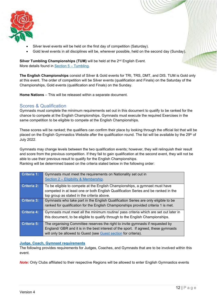![](_page_12_Picture_0.jpeg)

- Silver level events will be held on the first day of competition (Saturday).
- Gold level events in all disciplines will be, wherever possible, held on the second day (Sunday).

**Silver Tumbling Championships (TUM)** will be held at the 2<sup>nd</sup> English Event. More details found in [Section 5 –](#page-29-0) Tumbling.

**The English Championships** consist of Silver & Gold events for TRI, TRS, DMT, and DIS. TUM is Gold only at this event. The order of competition will be Silver events (qualification and Finals) on the Saturday of the Championships, Gold events (qualification and Finals) on the Sunday.

**Home Nations** – This will be released within a separate document.

### <span id="page-12-0"></span>Scores & Qualification

Gymnasts must complete the minimum requirements set out in this document to qualify to be ranked for the chance to compete at the English Championships. Gymnasts must execute the required Exercises in the same competition to be eligible to compete at the English Championships.

These scores will be ranked; the qualifiers can confirm their place by looking through the official list that will be placed on the English Gymnastics Website after the qualification round. The list will be available by the 29<sup>th</sup> of July 2022.

Gymnasts may change levels between the two qualification events; however, they will relinquish their result and score from the previous competition. If they fail to gain qualification at the second event, they will not be able to use their previous result to qualify for the English Championships.

Ranking will be determined based on the criteria stated below in the following order:

| Criteria 1: | Gymnasts must meet the requirements on Nationality set out in<br>Section 2 - Eligibility & Membership                                                                                                                                    |
|-------------|------------------------------------------------------------------------------------------------------------------------------------------------------------------------------------------------------------------------------------------|
| Criteria 2: | To be eligible to compete at the English Championships, a gymnast must have<br>competed in at least one or both English Qualification Series and be ranked in the<br>top group as stated in the criteria above.                          |
| Criteria 3: | Gymnasts who take part in the English Qualification Series are only eligible to be<br>ranked for qualification for the English Championships provided criteria 1 is met.                                                                 |
| Criteria 4: | Gymnasts must meet all the minimum routine/ pass criteria which are set out later in<br>this document, to be eligible to qualify through to the English Championships.                                                                   |
| Criteria 5: | The organising Committee reserves the right to invite gymnasts if requested by<br>England/ GBR and it is in the best interest of the sport. If agreed, these gymnasts<br>will only be allowed to Guest (see Guest section for criteria). |

### **Judge, Coach, Gymnast requirements**

The following provides requirements for Judges, Coaches, and Gymnasts that are to be involved within this event.

*Note:* Only Clubs affiliated to their respective Regions will be allowed to enter English Gymnastics events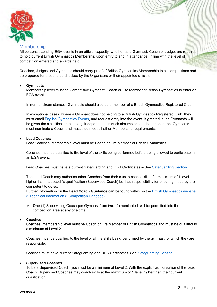![](_page_13_Picture_0.jpeg)

### <span id="page-13-0"></span>**Membership**

All persons attending EGA events in an official capacity, whether as a Gymnast, Coach or Judge, are required to hold current British Gymnastics Membership upon entry to and in attendance, in line with the level of competition entered and awards held.

Coaches, Judges and Gymnasts should carry proof of British Gymnastics Membership to all competitions and be prepared for these to be checked by the Organisers or their appointed officials.

### • **Gymnasts**

Membership level must be Competitive Gymnast, Coach or Life Member of British Gymnastics to enter an EGA event.

In normal circumstances, Gymnasts should also be a member of a British Gymnastics Registered Club.

In exceptional cases, where a Gymnast does not belong to a British Gymnastics Registered Club, they must email [English Gymnastics Events,](mailto:engevents@englishgymnastics.org.uk) and request entry into the event. If granted, such Gymnasts will be given the classification as being 'Independent'. In such circumstances, the Independent Gymnasts must nominate a Coach and must also meet all other Membership requirements.

### • **Lead Coaches**

Lead Coaches' Membership level must be Coach or Life Member of British Gymnastics.

Coaches must be qualified to the level of the skills being performed before being allowed to participate in an EGA event.

Lead Coaches must have a current Safeguarding and DBS Certificates - See [Safeguarding Section.](#page-16-0)

The Lead Coach may authorise other Coaches from their club to coach skills of a maximum of 1 level higher than that coach's qualification (Supervised Coach) but has responsibility for ensuring that they are competent to do so.

Further information on the **Lead Coach Guidance** can be found within on the [British Gymnastics website](https://www.british-gymnastics.org/technical-information/competition-handbooks/tumbling)  [> Technical Information > Competition Handbook.](https://www.british-gymnastics.org/technical-information/competition-handbooks/tumbling)

➢ **One** (1) Supervising Coach per Gymnast from **two** (2) nominated, will be permitted into the competition area at any one time.

#### • **Coaches**

Coaches' membership level must be Coach or Life Member of British Gymnastics and must be qualified to a minimum of Level 2.

Coaches must be qualified to the level of all the skills being performed by the gymnast for which they are responsible.

Coaches must have current Safeguarding and DBS Certificates. See [Safeguarding Section.](#page-16-0)

### • **Supervised Coaches**

To be a Supervised Coach, you must be a minimum of Level 2. With the explicit authorisation of the Lead Coach, Supervised Coaches may coach skills at the maximum of 1 level higher than their current qualification.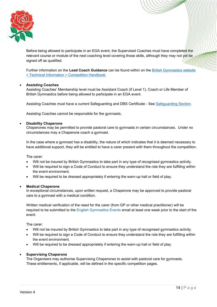![](_page_14_Picture_0.jpeg)

Before being allowed to participate in an EGA event, the Supervised Coaches must have completed the relevant course or module of the next coaching level covering those skills, although they may not yet be signed off as qualified.

Further information on the **Lead Coach Guidance** can be found within on the [British Gymnastics website](https://www.british-gymnastics.org/technical-information/competition-handbooks/tumbling)  [> Technical Information > Competition Handbook.](https://www.british-gymnastics.org/technical-information/competition-handbooks/tumbling)

### • **Assisting Coaches**

Assisting Coaches' Membership level must be Assistant Coach (if Level 1), Coach or Life Member of British Gymnastics before being allowed to participate in an EGA event.

Assisting Coaches must have a current Safeguarding and DBS Certificate - See [Safeguarding Section.](#page-16-0)

Assisting Coaches cannot be responsible for the gymnasts.

### • **Disability Chaperone**

Chaperones may be permitted to provide pastoral care to gymnasts in certain circumstances. Under no circumstances may a Chaperone coach a gymnast.

In the case where a gymnast has a disability, the nature of which indicates that it is deemed necessary to have additional support, they will be entitled to have a carer present with them throughout the competition.

The carer:

- Will not be insured by British Gymnastics to take part in any type of recognised gymnastics activity.
- Will be required to sign a Code of Conduct to ensure they understand the role they are fulfilling within the event environment.
- Will be required to be dressed appropriately if entering the warn-up hall or field of play.

#### • **Medical Chaperone**

In exceptional circumstances, upon written request, a Chaperone may be approved to provide pastoral care to a gymnast with a medical condition.

Written medical verification of the need for the carer (from GP or other medical practitioner) will be required to be submitted to the [English Gymnastics Events](mailto:engevents@englishgymnastics.org.uk) email at least one week prior to the start of the event.

The carer:

- Will not be insured by British Gymnastics to take part in any type of recognised gymnastics activity.
- Will be required to sign a Code of Conduct to ensure they understand the role they are fulfilling within the event environment.
- Will be required to be dressed appropriately if entering the warn-up hall or field of play.

#### • **Supervising Chaperone**

The Organisers may authorise Supervising Chaperones to assist with pastoral care for gymnasts. These entitlements, if applicable, will be defined in the specific competition pages.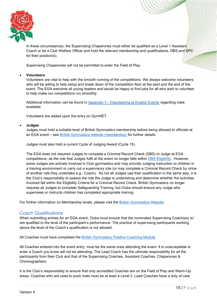![](_page_15_Picture_0.jpeg)

In these circumstances, the Supervising Chaperones must either be qualified as a Level 1 Assistant Coach or be a Club Welfare Officer and hold the relevant membership and qualifications, DBS and SPC for their position(s).

Supervising Chaperones will not be permitted to enter the Field of Play.

### • **Volunteers**

Volunteers are vital to help with the smooth running of the competitions. We always welcome volunteers who will be willing to help setup and break down of the competition floor at the start and the end of the event. The EGA welcome all young leaders and would be happy to find jobs for all who wish to volunteer to help make our competitions run smoothly.

Additional information can be found in Appendix 7 - Volunteering at English Events regarding roles available.

Volunteers are added upon the entry on GymNET.

### • **Judges**

Judges must hold a suitable level of British Gymnastics membership before being allowed to officiate at an EGA event – see [British Gymnastics website \(membership\)](https://www.british-gymnastics.org/memberships) for further details.

Judges must also hold a current Cycle of Judging Award (Cycle 15).

The EGA does not required Judges to complete a Criminal Record Check (DBS) to Judge at EGA competitions, as the role that Judges fulfil at the event no longer falls within [DBS Eligibility.](https://www.british-gymnastics.org/coaching/coach-membership/dbs) However, some Judges are actively involved in Club gymnastics and may provide Judging instruction to children in a training environment or carry out a supervisory role (or may complete a Criminal Record Check by virtue of another role they undertake e.g., Coach). As not all Judges use their qualification in the same way, it is the Club's responsibility to assess the role the Judge is undertaking and determine whether the activities involved fall within the Eligibility Criteria for a Criminal Record Check. British Gymnastics no longer requires all Judges to complete Safeguarding Training, but Clubs should ensure any Judge who supervises or instructs children has completed appropriate training.

For further information on Membership levels, please visit the [British Gymnastics Website.](https://www.british-gymnastics.org/gymnasts/gymnast-membership/fees)

### <span id="page-15-0"></span>Coach Qualifications

When submitting entries for an EGA event, Clubs must ensure that the nominated Supervising Coach(es) is/ are qualified to the level of the participant's performance. The practice of supervising participants working above the level of the Coach's qualification is not allowed.

All Coaches must have completed the [British Gymnastics Positive Coaching Module.](https://www.british-gymnastics.org/courses/6351/positive-coaching)

All Coaches entered into the event entry, must be the same ones attending the event. It is unacceptable to enter a Coach you know will not be attending. The Lead Coach has the ultimate responsibility for all the participants from their Club and that of the Supervising Coaches, Assistant Coaches, Chaperones & Choreographers.

It is the Club's responsibility to ensure that only accredited Coaches are on the Field of Play and Warm-Up areas. Coaches who are used to push mats must be at least a Level 2. Lead Coaches have a duty of care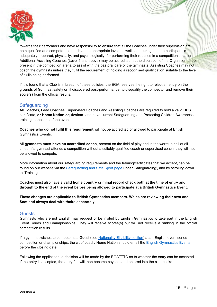![](_page_16_Picture_0.jpeg)

towards their performers and have responsibility to ensure that all the Coaches under their supervision are both qualified and competent to teach at the appropriate level, as well as ensuring that the participant is adequately prepared, physically, and psychologically, for performing their routines in a competition situation. Additional Assisting Coaches (Level 1 and above) may be accredited, at the discretion of the Organiser, to be present in the competition arena to assist with the pastoral care of the gymnasts. Assisting Coaches may not coach the gymnasts unless they fulfil the requirement of holding a recognised qualification suitable to the level of skills being performed.

If it is found that a Club is in breach of these policies, the EGA reserves the right to reject an entry on the grounds of Gymnast safety or, if discovered post-performance, to disqualify the competitor and remove their score(s) from the official results.

### <span id="page-16-0"></span>**Safeguarding**

<span id="page-16-2"></span>All Coaches, Lead Coaches, Supervised Coaches and Assisting Coaches are required to hold a valid DBS certificate, **or Home Nation equivalent**, and have current Safeguarding and Protecting Children Awareness training at the time of the event.

**Coaches who do not fulfil this requirement** will not be accredited or allowed to participate at British Gymnastics Events.

All **gymnasts must have an accredited coach**, present on the field of play and in the warmup hall at all times. If a gymnast attends a competition without a suitably qualified coach or supervised coach, they will not be allowed to compete.

More information about our safeguarding requirements and the training/certificates that we accept, can be found on our website via the [Safeguarding and Safe Sport page](https://eur02.safelinks.protection.outlook.com/?url=https%3A%2F%2Fwww.british-gymnastics.org%2Fsafesport%2Fsafeguarding&data=04%7C01%7Cjack.duggan%40british-gymnastics.org%7Ceb5ced022243468fb8d708da119653c7%7C971b06621a134360a76bfddc229ae63d%7C0%7C0%7C637841634581345346%7CUnknown%7CTWFpbGZsb3d8eyJWIjoiMC4wLjAwMDAiLCJQIjoiV2luMzIiLCJBTiI6Ik1haWwiLCJXVCI6Mn0%3D%7C3000&sdata=3w1ZYvKqAZWd65FKKTqEfS61U75XTNRfisUf%2Fz4lqOo%3D&reserved=0) under 'Safeguarding', and by scrolling down to 'Training'.

Coaches must also have a **valid home country criminal record check both at the time of entry and through to the end of the event before being allowed to participate at a British Gymnastics Event.**

**These changes are applicable to British Gymnastics members. Wales are reviewing their own and Scotland always deal with theirs separately.**

### <span id="page-16-1"></span>**Guests**

Gymnasts who are not English may request or be invited by English Gymnastics to take part in the English Event Series and Championships. They will receive scores(s) but will not receive a ranking in the official competition results.

If a gymnast wishes to compete as a Guest (see [Nationality Eligibility section\)](#page-11-1) at an English event series competition or championships, the club/ coach/ Home Nation should email the [English Gymnastics Events](mailto:engevents@englishgymnastics.org.uk) before the closing date.

Following the application, a decision will be made by the EGATTTC as to whether the entry can be accepted. If the entry is accepted, the entry fee will then become payable and entered into the club basket.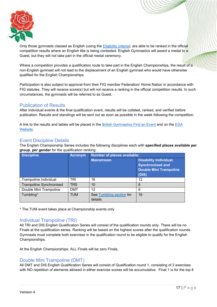![](_page_17_Picture_0.jpeg)

Only those gymnasts classed as English (using the [Eligibility criteria\)](#page-11-0), are able to be ranked in the official competition results where an English title is being contested. English Gymnastics will award a medal to a Guest, but they will not take part in the official medal ceremony.

Where a competition provides a qualification route to take part in the English Championships, the result of a non-English gymnast will not lead to the displacement of an English gymnast who would have otherwise qualified for the English Championships.

Participation is also subject to approval from their FIG member Federation/ Home Nation in accordance with FIG statutes. They will receive score(s) but will not receive a ranking in the official competition results. In such circumstances, the gymnasts will be referred to as Guest.

### <span id="page-17-0"></span>Publication of Results

After individual events & the final qualification event, results will be collated, ranked, and verified before publication. Results and standings will be sent out as soon as possible in the week following the competition.

A link to the results and tables will be placed in the [British Gymnastics Find an Event](https://www.british-gymnastics.org/find-an-event) and on the [EGA](http://www.englishgymnastics.org.uk/)  [Website.](http://www.englishgymnastics.org.uk/)

### <span id="page-17-1"></span>Event Discipline Details

The English Championship Series includes the following disciplines each with **specified places available per group**, **per gender** for the qualification ranking:

| <b>Discipline</b>              | <b>Acronym</b> | Number of places available:         |                                                                                                    |  |
|--------------------------------|----------------|-------------------------------------|----------------------------------------------------------------------------------------------------|--|
|                                |                | <b>Mainstream</b>                   | <b>Disability Individual,</b><br><b>Synchronised and</b><br><b>Double Mini Trampoline</b><br>(DIS) |  |
| Trampoline Individual          | TRI            | 16                                  | 12                                                                                                 |  |
| <b>Trampoline Synchronised</b> | <b>TRS</b>     | 10                                  | 8                                                                                                  |  |
| Double Mini Trampoline         | <b>DMT</b>     | 12                                  | 8                                                                                                  |  |
| Tumbling*                      | <b>TUM</b>     | See Tumbling section for<br>details | 16                                                                                                 |  |

\* The TUM event takes place at Championship events only

### <span id="page-17-2"></span>Individual Trampoline (TRI)

All TRI and DIS English Qualification Series will consist of the qualification rounds only. There will be no Finals at the qualification series. Ranking will be based on the highest scores after the qualification rounds. Gymnasts must complete both exercises in the qualification round to be eligible to qualify for the English Championships.

At the English Championships, ALL Finals will be zero Finals.

### <span id="page-17-3"></span>Double Mini Trampoline (DMT)

All DMT and DIS English Qualification Series will consist of Qualification round 1, consisting of 2 exercises with NO repetition of elements allowed in either exercise scores will be accumulative. Final 1 is for the top 8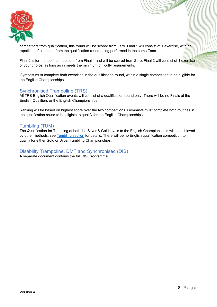![](_page_18_Picture_0.jpeg)

competitors from qualification, this round will be scored from Zero. Final 1 will consist of 1 exercise, with no repetition of elements from the qualification round being performed in the same Zone.

Final 2 is for the top 4 competitors from Final 1 and will be scored from Zero. Final 2 will consist of 1 exercise of your choice, as long as in meets the minimum difficulty requirements.

Gymnast must complete both exercises in the qualification round, within a single competition to be eligible for the English Championships.

### <span id="page-18-0"></span>Synchronised Trampoline (TRS)

All TRS English Qualification events will consist of a qualification round only. There will be no Finals at the English Qualifiers or the English Championships.

Ranking will be based on highest score over the two competitions. Gymnasts must complete both routines in the qualification round to be eligible to qualify for the English Championships.

### <span id="page-18-1"></span>Tumbling (TUM)

The Qualification for Tumbling at both the Silver & Gold levels to the English Championships will be achieved by other methods, see [Tumbling section](#page-29-0) for details. There will be no English qualification competition to qualify for either Gold or Silver Tumbling Championships.

<span id="page-18-2"></span>Disability Trampoline, DMT and Synchronised (DIS) A separate document contains the full DIS Programme.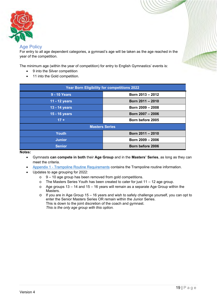![](_page_19_Picture_0.jpeg)

### <span id="page-19-0"></span>**Age Policy**

For entry to all age dependent categories, a gymnast's age will be taken as the age reached in the year of the competition.

The minimum age (within the year of competition) for entry to English Gymnastics' events is:

- 9 into the Silver competition
- 11 into the Gold competition.

| <b>Year Born Eligibility for competitions 2022</b> |                  |  |  |  |
|----------------------------------------------------|------------------|--|--|--|
| <b>9 - 10 Years</b>                                | Born 2013 - 2012 |  |  |  |
| 11 - 12 years                                      | Born 2011 - 2010 |  |  |  |
| 13 - 14 years                                      | Born 2009 - 2008 |  |  |  |
| 15 - 16 years                                      | Born 2007 - 2006 |  |  |  |
| $17 +$                                             | Born before 2005 |  |  |  |
| <b>Masters Series</b>                              |                  |  |  |  |
| <b>Youth</b>                                       | Born 2011 - 2010 |  |  |  |
| <b>Junior</b>                                      | Born 2009 - 2006 |  |  |  |
| <b>Senior</b>                                      | Born before 2006 |  |  |  |

#### **Notes:**

- Gymnasts **can compete in both** their **Age Group** and in the **Masters' Series**, as long as they can meet the criteria.
- Appendix 1 [Trampoline Routine Requirements](#page-44-0) contains the Trampoline routine information.
- Updates to age grouping for 2022:
	- $\circ$  9 10 age group has been removed from gold competitions.
	- o The Masters Series Youth has been created to cater for just 11 12 age group.
	- $\circ$  Age groups 13 14 and 15 16 years will remain as a separate Age Group within the Masters.
	- o If you are in Age Group 15 16 years and wish to safely challenge yourself, you can opt to enter the Senior Masters Series OR remain within the Junior Series. This is down to the joint discretion of the coach and gymnast. *This is the only age group with this option.*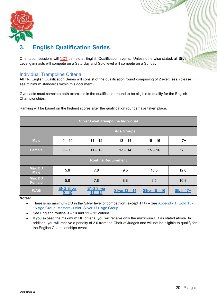![](_page_20_Picture_0.jpeg)

# <span id="page-20-0"></span>**3. English Qualification Series**

Orientation sessions will **NOT** be held at English Qualification events. Unless otherwise stated, all Silver Level gymnasts will compete on a Saturday and Gold level will compete on a Sunday.

### <span id="page-20-1"></span>Individual Trampoline Criteria

All TRI English Qualification Series will consist of the qualification round comprising of 2 exercises, (please see minimum standards within this document).

Gymnasts must complete both exercises in the qualification round to be eligible to qualify for the English Championships.

| <b>Silver Level Trampoline Individual</b> |                               |                                |                |                |            |
|-------------------------------------------|-------------------------------|--------------------------------|----------------|----------------|------------|
|                                           |                               | <b>Age Groups</b>              |                |                |            |
| <b>Male</b>                               | $9 - 10$                      | $11 - 12$                      | $13 - 14$      | $15 - 16$      | $17+$      |
| <b>Female</b>                             | $9 - 10$                      | $11 - 12$                      | $13 - 14$      | $15 - 16$      | $17+$      |
| <b>Routine Requirement</b>                |                               |                                |                |                |            |
| <b>Max DD</b><br><b>Male</b>              | 5.8                           | 7.8                            | 9.5            | 10.5           | 12.0       |
| <b>Max DD</b><br><b>Female</b>            | 5.8                           | 7.8                            | 8.8            | 9.5            | 10.8       |
| <b>WAG</b>                                | <b>ENG Silver</b><br>$9 - 10$ | <b>ENG Silver</b><br>$11 - 12$ | Silver 13 - 14 | Silver 15 - 16 | Silver 17+ |

Ranking will be based on the highest scores after the qualification rounds have taken place.

**Notes:**

• There is no minimum DD in the Silver level of competition (except 17+) – See [Appendix 1: Gold 15 -](#page-45-1) [16 Age Group, Masters Junior, Silver 17+ Age Group.](#page-45-1)

See England routine  $9 - 10$  and  $11 - 12$  criteria.

• If you exceed the maximum DD criteria, you will receive only the maximum DD as stated above. In addition, you will receive a penalty of 2.0 from the Chair of Judges and will not be eligible to qualify for the English Championships event.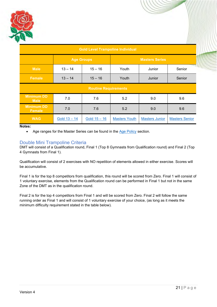![](_page_21_Picture_0.jpeg)

| <b>Gold Level Trampoline Individual</b> |                        |                |                      |                       |                        |  |
|-----------------------------------------|------------------------|----------------|----------------------|-----------------------|------------------------|--|
|                                         | <b>Age Groups</b>      |                |                      |                       |                        |  |
| <b>Male</b>                             | $13 - 14$<br>$15 - 16$ |                | Youth<br>Junior      |                       | <b>PAGES</b><br>Senior |  |
| <b>Female</b>                           | $13 - 14$              | $15 - 16$      | Youth                | Junior                | Senior                 |  |
| <b>Routine Requirements</b>             |                        |                |                      |                       |                        |  |
| <b>Minimum DD</b><br><b>Male</b>        | 7.0                    | 7.6            | 5.2                  | 9.0                   | 9.6                    |  |
| <b>Minimum DD</b><br><b>Female</b>      | 7.0                    | 7.6            | 5.2                  | 9.0                   | 9.6                    |  |
| <b>WAG</b>                              | Gold $13 - 14$         | Gold $15 - 16$ | <b>Masters Youth</b> | <b>Masters Junior</b> | <b>Masters Senior</b>  |  |

### **Notes:**

• Age ranges for the Master Series can be found in the [Age Policy](#page-19-0) section.

### <span id="page-21-0"></span>Double Mini Trampoline Criteria

DMT will consist of a Qualification round, Final 1 (Top 8 Gymnasts from Qualification round) and Final 2 (Top 4 Gymnasts from Final 1).

Qualification will consist of 2 exercises with NO repetition of elements allowed in either exercise. Scores will be accumulative.

Final 1 is for the top 8 competitors from qualification, this round will be scored from Zero. Final 1 will consist of 1 voluntary exercise, elements from the Qualification round can be performed in Final 1 but not in the same Zone of the DMT as in the qualification round.

Final 2 is for the top 4 competitors from Final 1 and will be scored from Zero. Final 2 will follow the same running order as Final 1 and will consist of 1 voluntary exercise of your choice, (as long as it meets the minimum difficulty requirement stated in the table below).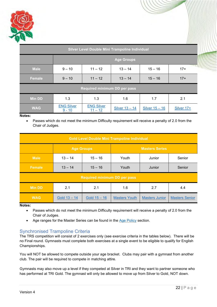![](_page_22_Picture_0.jpeg)

| Silver Level Double Mini Trampoline Individual |                                                          |                                |                |                  |            |  |
|------------------------------------------------|----------------------------------------------------------|--------------------------------|----------------|------------------|------------|--|
|                                                | <b>Age Groups</b>                                        |                                |                |                  |            |  |
| <b>Male</b>                                    | $9 - 10$                                                 | $11 - 12$                      | $13 - 14$      | $15 - 16$        | $17+$      |  |
| <b>Female</b>                                  | $11 - 12$<br>$13 - 14$<br>$15 - 16$<br>$9 - 10$<br>$17+$ |                                |                |                  |            |  |
| <b>Required minimum DD per pass</b>            |                                                          |                                |                |                  |            |  |
| <b>Min DD</b>                                  | 1.3                                                      | 1.3                            | 1.6            | 1.7              | 2.1        |  |
| <b>WAG</b>                                     | <b>ENG Silver</b><br>$9 - 10$                            | <b>ENG Silver</b><br>$11 - 12$ | Silver 13 - 14 | Silver $15 - 16$ | Silver 17+ |  |

### **Notes:**

• Passes which do not meet the minimum Difficulty requirement will receive a penalty of 2.0 from the Chair of Judges.

| <b>Gold Level Double Mini Trampoline Individual</b> |                                            |                                     |                      |                       |                       |
|-----------------------------------------------------|--------------------------------------------|-------------------------------------|----------------------|-----------------------|-----------------------|
|                                                     | <b>Age Groups</b><br><b>Masters Series</b> |                                     |                      |                       |                       |
| <b>Male</b>                                         | $13 - 14$                                  | $15 - 16$                           | Youth                | Junior                | Senior                |
| <b>Female</b>                                       | $13 - 14$                                  | $15 - 16$                           | Youth                | Junior                | Senior                |
|                                                     |                                            | <b>Required minimum DD per pass</b> |                      |                       |                       |
| <b>Min DD</b>                                       | 2.1                                        | 2.1                                 | 1.6                  | 2.7                   | 4.4                   |
| <b>WAG</b>                                          | Gold 13 – 14                               | Gold $15 - 16$                      | <b>Masters Youth</b> | <b>Masters Junior</b> | <b>Masters Senior</b> |

**Notes:**

- Passes which do not meet the minimum Difficulty requirement will receive a penalty of 2.0 from the Chair of Judges.
- Age ranges for the Master Series can be found in the [Age Policy](#page-19-0) section.

### <span id="page-22-0"></span>Synchronised Trampoline Criteria

The TRS competition will consist of 2 exercises only (see exercise criteria in the tables below). There will be no Final round. Gymnasts must complete both exercises at a single event to be eligible to qualify for English Championships.

You will NOT be allowed to compete outside your age bracket. Clubs may pair with a gymnast from another club. The pair will be required to compete in matching attire.

Gymnasts may also move up a level if they competed at Silver in TRI and they want to partner someone who has performed at TRI Gold. The gymnast will only be allowed to move up from Silver to Gold, NOT down.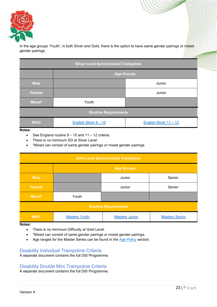![](_page_23_Picture_0.jpeg)

In the age groups 'Youth', in both Silver and Gold, there is the option to have same gender pairings or mixed gender pairings.

| <b>Silver Level Synchronised Trampoline</b> |                       |                        |  |  |
|---------------------------------------------|-----------------------|------------------------|--|--|
|                                             | <b>Age Groups</b>     |                        |  |  |
| <b>Male</b>                                 |                       | Junior                 |  |  |
| <b>Female</b>                               |                       | Junior                 |  |  |
| Mixed*                                      | Youth                 |                        |  |  |
| <b>Routine Requirements</b>                 |                       |                        |  |  |
| <b>WAG</b>                                  | English Silver 9 - 10 | English Silver 11 - 12 |  |  |

**Notes:**

- See England routine  $9 10$  and  $11 12$  criteria.
- There is no minimum DD at Silver Level.
- \*Mixed can consist of same gender pairings or mixed gender pairings.

| <b>Gold Level Synchronised Trampoline</b> |                      |                       |                       |  |  |
|-------------------------------------------|----------------------|-----------------------|-----------------------|--|--|
|                                           | <b>Age Groups</b>    |                       |                       |  |  |
| <b>Male</b>                               |                      | Junior                | Senior                |  |  |
| <b>Female</b>                             |                      | Junior                | Senior                |  |  |
| Mixed*                                    | Youth                |                       |                       |  |  |
| <b>Routine Requirements</b>               |                      |                       |                       |  |  |
| <b>WAG</b>                                | <b>Masters Youth</b> | <b>Masters Junior</b> | <b>Masters Senior</b> |  |  |

**Notes:**

- There is no minimum Difficulty at Gold Level.
- \*Mixed can consist of same gender pairings or mixed gender pairings.
- Age ranges for the Master Series can be found in the [Age Policy](#page-19-0) section.

### <span id="page-23-0"></span>Disability Individual Trampoline Criteria

A separate document contains the full DIS Programme.

### <span id="page-23-1"></span>Disability Double Mini Trampoline Criteria

A separate document contains the full DIS Programme.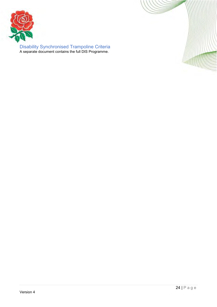![](_page_24_Picture_0.jpeg)

<span id="page-24-0"></span>Disability Synchronised Trampoline Criteria A separate document contains the full DIS Programme.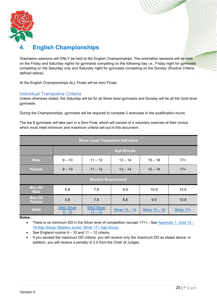![](_page_25_Picture_0.jpeg)

# <span id="page-25-0"></span>**4. English Championships**

Orientation sessions will ONLY be held at the English Championships. The orientation sessions will be held on the Friday and Saturday nights for gymnasts competing on the following day i.e., Friday night for gymnasts competing on the Saturday only and Saturday night for gymnasts competing on the Sunday (Routine Criteria defined below).

At the English Championships ALL Finals will be zero Finals.

### <span id="page-25-1"></span>Individual Trampoline Criteria

Unless otherwise stated, the Saturday will be for all Silver level gymnasts and Sunday will be all the Gold level gymnasts.

During the Championships, gymnasts will be required to compete 2 exercises in the qualification round.

The top 8 gymnasts will take part in a Zero Final, which will consist of a voluntary exercise of their choice which must meet minimum and maximum criteria set out in this document.

| <b>Silver Level Trampoline Individual</b> |                                  |                                |                   |                |            |
|-------------------------------------------|----------------------------------|--------------------------------|-------------------|----------------|------------|
|                                           |                                  |                                | <b>Age Groups</b> |                |            |
| <b>Male</b>                               | $9 - 10$                         | $11 - 12$                      | $13 - 14$         | $15 - 16$      | $17+$      |
| Female                                    | $9 - 10$                         | $11 - 12$                      | $13 - 14$         | $15 - 16$      | $17+$      |
|                                           |                                  | <b>Routine Requirement</b>     |                   |                |            |
| <b>Max DD</b><br><b>Male</b>              | 5.8                              | 7.8                            | 9.5               | 10.5           | 12.0       |
| <b>Max DD</b><br><b>Female</b>            | 5.8<br>7.8<br>8.8<br>9.5<br>10.8 |                                |                   |                |            |
| <b>WAG</b>                                | <b>ENG Silver</b><br>$9 - 10$    | <b>ENG Silver</b><br>$11 - 12$ | Silver 13 - 14    | Silver 15 - 16 | Silver 17+ |

**Notes:**

• There is no minimum DD in the Silver level of competition (except  $17+)$  – See Appendix 1: Gold  $15-$ [16 Age Group, Masters Junior, Silver 17+ Age Group.](#page-45-1)

• See England routine  $9 - 10$  and  $11 - 12$  criteria.

• If you exceed the maximum DD criteria, you will receive only the maximum DD as stated above. In addition, you will receive a penalty of 2.0 from the Chair of Judges.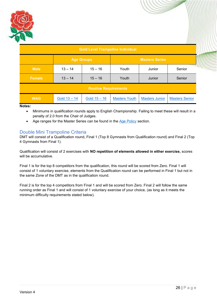![](_page_26_Picture_0.jpeg)

| <b>Gold Level Trampoline Individual</b> |                                            |                |                      |                       |                       |  |
|-----------------------------------------|--------------------------------------------|----------------|----------------------|-----------------------|-----------------------|--|
|                                         | <b>Masters Series</b><br><b>Age Groups</b> |                |                      |                       |                       |  |
| <b>Male</b>                             | $13 - 14$                                  | $15 - 16$      | Youth                | Junior                | Senior                |  |
| <b>Female</b>                           | $13 - 14$                                  | $15 - 16$      | Youth                | Junior                | Senior                |  |
| <b>Routine Requirements</b>             |                                            |                |                      |                       |                       |  |
| <b>WAG</b>                              | Gold $13 - 14$                             | Gold $15 - 16$ | <b>Masters Youth</b> | <b>Masters Junior</b> | <b>Masters Senior</b> |  |

**Notes:**

- Minimums in qualification rounds apply to English Championship. Failing to meet these will result in a penalty of 2.0 from the Chair of Judges.
- Age ranges for the Master Series can be found in the [Age Policy](#page-19-0) section.

### <span id="page-26-0"></span>Double Mini Trampoline Criteria

DMT will consist of a Qualification round, Final 1 (Top 8 Gymnasts from Qualification round) and Final 2 (Top 4 Gymnasts from Final 1).

Qualification will consist of 2 exercises with **NO repetition of elements allowed in either exercise,** scores will be accumulative.

Final 1 is for the top 8 competitors from the qualification, this round will be scored from Zero. Final 1 will consist of 1 voluntary exercise, elements from the Qualification round can be performed in Final 1 but not in the same Zone of the DMT as in the qualification round.

Final 2 is for the top 4 competitors from Final 1 and will be scored from Zero. Final 2 will follow the same running order as Final 1 and will consist of 1 voluntary exercise of your choice, (as long as it meets the minimum difficulty requirements stated below).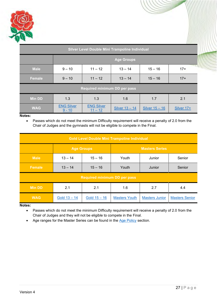![](_page_27_Picture_0.jpeg)

| Silver Level Double Mini Trampoline Individual |                                     |                            |                       |                |            |  |
|------------------------------------------------|-------------------------------------|----------------------------|-----------------------|----------------|------------|--|
|                                                |                                     | <b>Age Groups</b>          |                       |                |            |  |
| <b>Male</b>                                    | $9 - 10$                            | $11 - 12$                  | $13 - 14$             | $15 - 16$      | $17+$      |  |
| <b>Female</b>                                  | $9 - 10$                            | $11 - 12$                  | $13 - 14$             | $15 - 16$      | $17+$      |  |
|                                                | <b>Required minimum DD per pass</b> |                            |                       |                |            |  |
| <b>Min DD</b>                                  | 1.3                                 | 1.3                        | 1.6                   | 1.7            | 2.1        |  |
| <b>WAG</b>                                     | <b>ENG Silver</b><br>$9 - 10$       | <b>ENG Silver</b><br>$-12$ | <b>Silver 13 - 14</b> | Silver 15 - 16 | Silver 17+ |  |

**Notes:**

• Passes which do not meet the minimum Difficulty requirement will receive a penalty of 2.0 from the Chair of Judges and the gymnasts will not be eligible to compete in the Final.

| <b>Gold Level Double Mini Trampoline Individual</b> |                                            |                                     |                      |                       |                       |
|-----------------------------------------------------|--------------------------------------------|-------------------------------------|----------------------|-----------------------|-----------------------|
|                                                     | <b>Age Groups</b><br><b>Masters Series</b> |                                     |                      |                       |                       |
| <b>Male</b>                                         | $13 - 14$                                  | $15 - 16$                           | Youth                | Junior                | Senior                |
| <b>Female</b>                                       | $13 - 14$                                  | $15 - 16$                           | Youth                | Junior                | Senior                |
|                                                     |                                            | <b>Required minimum DD per pass</b> |                      |                       |                       |
| <b>Min DD</b>                                       | 2.1                                        | 2.1                                 | 1.6                  | 2.7                   | 4.4                   |
| <b>WAG</b>                                          | Gold $13 - 14$                             | Gold $15 - 16$                      | <b>Masters Youth</b> | <b>Masters Junior</b> | <b>Masters Senior</b> |

**Notes:**

- Passes which do not meet the minimum Difficulty requirement will receive a penalty of 2.0 from the Chair of Judges and they will not be eligible to compete in the Final.
- Age ranges for the Master Series can be found in the [Age Policy](#page-19-0) section.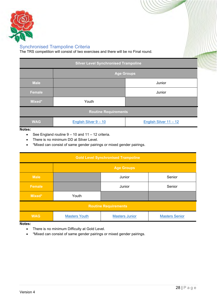![](_page_28_Picture_0.jpeg)

### <span id="page-28-0"></span>Synchronised Trampoline Criteria

The TRS competition will consist of two exercises and there will be no Final round.

| <b>Silver Level Synchronised Trampoline</b> |                       |                        |  |  |  |
|---------------------------------------------|-----------------------|------------------------|--|--|--|
|                                             | <b>Age Groups</b>     |                        |  |  |  |
| <b>Male</b>                                 |                       | Junior                 |  |  |  |
| <b>Female</b>                               |                       | Junior                 |  |  |  |
| Mixed*                                      | Youth                 |                        |  |  |  |
| <b>Routine Requirements</b>                 |                       |                        |  |  |  |
| <b>WAG</b>                                  | English Silver 9 - 10 | English Silver 11 - 12 |  |  |  |

### **Notes:**

- See England routine  $9 10$  and  $11 12$  criteria.
- There is no minimum DD at Silver Level.
- \*Mixed can consist of same gender pairings or mixed gender pairings.

| <b>Gold Level Synchronised Trampoline</b> |                      |                       |                       |  |  |  |
|-------------------------------------------|----------------------|-----------------------|-----------------------|--|--|--|
|                                           | <b>Age Groups</b>    |                       |                       |  |  |  |
| <b>Male</b>                               |                      | Junior                | Senior                |  |  |  |
| <b>Female</b>                             |                      | Junior                | Senior                |  |  |  |
| Mixed*                                    | Youth                |                       |                       |  |  |  |
| <b>Routine Requirements</b>               |                      |                       |                       |  |  |  |
| <b>WAG</b>                                | <b>Masters Youth</b> | <b>Masters Junior</b> | <b>Masters Senior</b> |  |  |  |

**Notes:**

- There is no minimum Difficulty at Gold Level.
- \*Mixed can consist of same gender pairings or mixed gender pairings.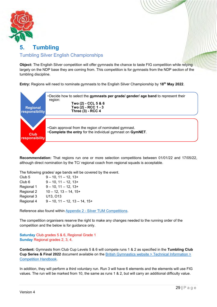![](_page_29_Picture_0.jpeg)

# <span id="page-29-1"></span><span id="page-29-0"></span>**5. Tumbling**  Tumbling Silver English Championships

**Object:** The English Silver competition will offer gymnasts the chance to taste FIG competition while relying largely on the NDP base they are coming from. This competition is for gymnasts from the NDP section of the tumbling discipline.

**Entry:** Regions will need to nominate gymnasts to the English Silver Championship by **18th May 2022**.

![](_page_29_Figure_4.jpeg)

**Recommendation:** That regions run one or more selection competitions between 01/01/22 and 17/05/22, although direct nomination by the TC/ regional coach from regional squads is acceptable.

The following grades/ age bands will be covered by the event.

| Club <sub>5</sub> | $9 - 10$ , $11 - 12$ , $13+$             |
|-------------------|------------------------------------------|
| Club <sub>6</sub> | $9 - 10$ , $11 - 12$ , $13+$             |
| Regional 1        | $9 - 10$ , $11 - 12$ , $13+$             |
| Regional 2        | $10 - 12$ , $13 - 14$ , $15+$            |
| Regional 3        | U13, O13                                 |
| Regional 4        | $9 - 10$ , $11 - 12$ , $13 - 14$ , $15+$ |

Reference also found within Appendix 2 - [Silver TUM Competitions.](#page-47-0)

The competition organisers reserve the right to make any changes needed to the running order of the competition and the below is for guidance only.

**Saturday** Club grades 5 & 6, Regional Grade 1 **Sunday** Regional grades 2, 3, 4.

**Content:** Gymnasts from Club Cup Levels 5 & 6 will compete runs 1 & 2 as specified in the **Tumbling Club Cup Series & Final 2022** document available on the British [Gymnastics website > Technical Information >](https://www.british-gymnastics.org/technical-information/competition-handbooks/tumbling)  [Competition Handbook.](https://www.british-gymnastics.org/technical-information/competition-handbooks/tumbling)

In addition, they will perform a third voluntary run. Run 3 will have 6 elements and the elements will use FIG values. The run will be marked from 10, the same as runs 1 & 2, but will carry an additional difficulty value.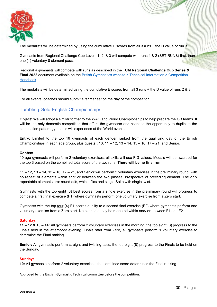![](_page_30_Picture_0.jpeg)

The medalists will be determined by using the cumulative E scores from all 3 runs + the D value of run 3.

Gymnasts from Regional Challenge Cup Levels 1, 2, & 3 will compete with runs 1 & 2 (SET RUNS) first, then one (1) voluntary 8 element pass.

Regional 4 gymnasts will compete with runs as described in the **TUM Regional Challenge Cup Series & Final 2022** document available on the British Gymnastics website > Technical Information > Competition [Handbook.](https://www.british-gymnastics.org/technical-information/competition-handbooks/tumbling)

The medalists will be determined using the cumulative E scores from all 3 runs + the D value of runs 2 & 3.

For all events, coaches should submit a tariff sheet on the day of the competition.

### <span id="page-30-0"></span>Tumbling Gold English Championships

**Object:** We will adopt a similar format to the WAG and World Championships to help prepare the GB teams. It will be the only domestic competition that offers the gymnasts and coaches the opportunity to duplicate the competition pattern gymnasts will experience at the World events.

**Entry:** Limited to the top 16 gymnasts of each gender ranked from the qualifying day of the British Championships in each age group, plus guests<sup>1</sup>: 10, 11 – 12, 13 – 14, 15 – 16, 17 – 21, and Senior.

### **Content:**

10 age gymnasts will perform 2 voluntary exercises; all skills will use FIG values. Medals will be awarded for the top 3 based on the combined total score of the two runs. **There will be no final run**.

11 – 12, 13 – 14, 15 – 16, 17 – 21, and Senior will perform 2 voluntary exercises in the preliminary round, with no repeat of elements within and/ or between the two passes, irrespective of preceding element. The only repeatable elements are: round offs, whips, flics and single Salto with single twist.

Gymnasts with the top eight (8) best scores from a single exercise in the preliminary round will progress to compete a first final exercise (F1) where gymnasts perform one voluntary exercise from a Zero start.

Gymnasts with the top four (4) F1 scores qualify to a second final exercise (F2) where gymnasts perform one voluntary exercise from a Zero start. No elements may be repeated within and/ or between F1 and F2.

### **Saturday:**

**11 – 12 & 13 – 14:** All gymnasts perform 2 voluntary exercises in the morning, the top eight (8) progress to the Finals held in the afternoon/ evening. Finals start from Zero, all gymnasts perform 1 voluntary exercise to determine the Final ranking.

**Senior:** All gymnasts perform straight and twisting pass, the top eight (8) progress to the Finals to be held on the Sunday.

### **Sunday:**

**10:** All gymnasts perform 2 voluntary exercises; the combined score determines the Final ranking.

Approved by the English Gymnastic Technical committee before the competition.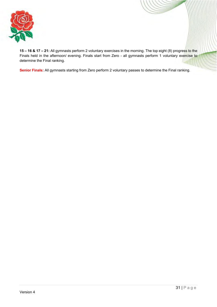![](_page_31_Picture_0.jpeg)

**15 – 16 & 17 – 21:** All gymnasts perform 2 voluntary exercises in the morning. The top eight (8) progress to the Finals held in the afternoon/ evening. Finals start from Zero - all gymnasts perform 1 voluntary exercise to determine the Final ranking.

**Senior Finals:** All gymnasts starting from Zero perform 2 voluntary passes to determine the Final ranking.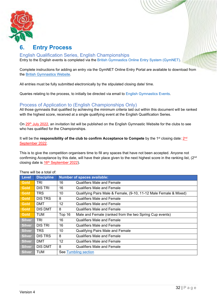![](_page_32_Picture_0.jpeg)

### <span id="page-32-0"></span>**6. Entry Process**

### <span id="page-32-1"></span>English Qualification Series, English Championships

Entry to the English events is completed via the [British Gymnastics Online Entry System \(GymNET\).](https://www.british-gymnastics.org/gymnet/)

Complete instructions for adding an entry via the GymNET Online Entry Portal are available to download from the [British Gymnastics](https://www.british-gymnastics.org/docman/regions-and-home-countries/england/news-1/4621-on-line-entry-system-guidance-notes/file) Website.

All entries must be fully submitted electronically by the stipulated closing date/ time.

Queries relating to the process, to initially be directed via email to [English Gymnastics Events.](mailto:engevents@englishgymnastics.org.uk)

### <span id="page-32-2"></span>Process of Application to (English Championships Only)

All those gymnasts that qualified by achieving the minimum criteria laid out within this document will be ranked with the highest score, received at a single qualifying event at the English Qualification Series.

On 29<sup>th</sup> July 2022, an invitation list will be published on the English Gymnastic Website for the clubs to see who has qualified for the Championships.

### It will be the **responsibility of the club to confirm Acceptance to Compete** by the 1<sup>st</sup> closing date: 2<sup>nd</sup> September 2022.

This is to give the competition organisers time to fill any spaces that have not been accepted. Anyone not confirming Acceptance by this date, will have their place given to the next highest score in the ranking list, (2<sup>nd</sup>) closing date is 16<sup>th</sup> September 2022).

|               | THELE WILL DE A LULAI UI. |                   |                                                                   |
|---------------|---------------------------|-------------------|-------------------------------------------------------------------|
| Level         | <b>Discipline</b>         |                   | <b>Number of spaces available:</b>                                |
| Gold          | TRI                       | 16                | <b>Qualifiers Male and Female</b>                                 |
| Gold          | DIS TRI                   | 16                | Qualifiers Male and Female                                        |
| Gold          | <b>TRS</b>                | 10                | Qualifying Pairs Male & Female, (9-10, 11-12 Male Female & Mixed) |
| Gold          | DIS TRS                   | 8                 | Qualifiers Male and Female                                        |
| Gold          | <b>DMT</b>                | $12 \overline{ }$ | Qualifiers Male and Female                                        |
| Gold          | <b>DIS DMT</b>            | 8                 | Qualifiers Male and Female                                        |
| Gold          | <b>TUM</b>                | Top 16            | Male and Female (ranked from the two Spring Cup events)           |
| <b>Silver</b> | TRI                       | 16                | <b>Qualifiers Male and Female</b>                                 |
| <b>Silver</b> | DIS TRI                   | 16                | <b>Qualifiers Male and Female</b>                                 |
| <b>Silver</b> | <b>TRS</b>                | 10                | <b>Qualifying Pairs Male and Female</b>                           |
| <b>Silver</b> | <b>DISTRS</b>             | 8                 | <b>Qualifiers Male and Female</b>                                 |
| <b>Silver</b> | <b>DMT</b>                | 12                | Qualifiers Male and Female                                        |
| <b>Silver</b> | DIS DMT                   | 8                 | Qualifiers Male and Female                                        |
| <b>Silver</b> | TUM                       |                   | See Tumbling section                                              |

There will be a total of: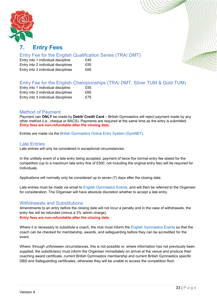![](_page_33_Picture_0.jpeg)

### <span id="page-33-0"></span>**7. Entry Fees**

### <span id="page-33-1"></span>Entry Fee for the English Qualification Series (TRA/ DMT)

Entry into 1 individual discipline £45 Entry into 2 individual disciplines £55 Entry into 3 individual disciplines £65

### <span id="page-33-2"></span>Entry Fee for the English Championships (TRA/ DMT, Silver TUM & Gold TUM)

| Entry into 1 individual discipline  | £55 |
|-------------------------------------|-----|
| Entry into 2 individual disciplines | £65 |
| Entry into 3 individual disciplines | £75 |

### <span id="page-33-3"></span>Method of Payment

Payment can **ONLY** be made by **Debit/ Credit Card** – British Gymnastics will reject payment made by any other method (i.e., cheque or BACS). Payments are required at the same time as the entry is submitted. **Entry fees are non-refundable after the closing date.**

Entries are made via the [British Gymnastics Online Entry System \(GymNET\).](https://www.british-gymnastics.org/gymnet/)

### <span id="page-33-4"></span>Late Entries

Late entries will only be considered in exceptional circumstances.

In the unlikely event of a late entry being accepted, payment of twice the normal entry fee stated for the competition (up to a maximum late entry fine of £500, not including the original entry fee) will be required for Individuals.

Applications will normally only be considered up to seven (7) days after the closing date.

Late entries must be made via email to [English Gymnastics Events,](mailto:engevents@englishgymnastics.org.uk) and will then be referred to the Organiser for consideration. The Organiser will have absolute discretion whether to accept a late entry.

### <span id="page-33-5"></span>Withdrawals and Substitutions

Amendments to an entry before the closing date will not incur a penalty and in the case of withdrawals, the entry fee will be refunded (minus a 3% admin charge). **Entry fees are non-refundable after the closing date.**

Where it is necessary to substitute a coach, the club must inform the [English Gymnastics Events](mailto:engevents@englishgymnastics.org.uk) so that the

coach can be checked for membership, awards, and safeguarding before they can be accredited for the event.

Where, through unforeseen circumstances, this is not possible or, where information has not previously been supplied, the substitute(s) must inform the Organiser immediately on arrival at the venue and produce their coaching award certificate, current British Gymnastics membership and current British Gymnastics specific DBS and Safeguarding certificates, otherwise they will be unable to access the competition floor.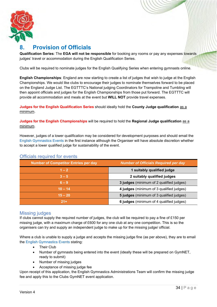![](_page_34_Picture_0.jpeg)

### <span id="page-34-0"></span>**8. Provision of Officials**

**Qualification Series**: The **EGA will not be responsible** for booking any rooms or pay any expenses towards judges' travel or accommodation during the English Qualification Series.

Clubs will be required to nominate judges for the English Qualifying Series when entering gymnasts online.

**English Championships**: England are now starting to create a list of judges that wish to judge at the English Championships. We would like clubs to encourage their judges to nominate themselves forward to be placed on the England Judge List. The EGTTTC's National judging Coordinators for Trampoline and Tumbling will then appoint officials and judges for the English Championships from those put forward. The EGTTTC will provide all accommodation and meals at the event but **WILL NOT** provide travel expenses.

**Judges for the English Qualification Series** should ideally hold the **County Judge qualification** as a minimum.

**Judges for the English Championships** will be required to hold the **Regional Judge qualification** as a minimum.

However, judges of a lower qualification may be considered for development purposes and should email the [English Gymnastics Events](mailto:engevents@englishgymnastics.org.uk) in the first instance although the Organiser will have absolute discretion whether to accept a lower qualified judge for sustainability of the event.

### <span id="page-34-1"></span>Officials required for events

| <b>Number of Competitor Entries per day</b> | <b>Number of Officials Required per day</b>     |
|---------------------------------------------|-------------------------------------------------|
| $1 - 2$                                     | 1 suitably qualified judge                      |
| $3 - 5$                                     | 2 suitably qualified judges                     |
| $6 - 9$                                     | 3 judges (minimum of 2 qualified judges)        |
| $10 - 14$                                   | 4 judges (minimum of 3 qualified judges)        |
| $15 - 20$                                   | <b>5 judges</b> (minimum of 3 qualified judges) |
| $21+$                                       | 6 judges (minimum of 4 qualified judges)        |

### <span id="page-34-2"></span>Missing judges

If clubs cannot supply the required number of judges, the club will be required to pay a fine of £150 per missing judge, with a maximum charge of £600 for any one club at any one competition. This is so the organisers can try and supply an independent judge to make up for the missing judge/ official.

Where a club is unable to supply a judge and accepts the missing judge fine (as per above), they are to email the [English Gymnastics Events](mailto:engevents@englishgymnastics.org.uk) stating:

- Their Club
- Number of gymnasts being entered into the event (ideally these will be prepared on GymNET, ready to submit)
- Number of missing judges
- Acceptance of missing judge fee

Upon receipt of this application, the English Gymnastics Administrations Team will confirm the missing judge fee and apply this to the Clubs GymNET event application.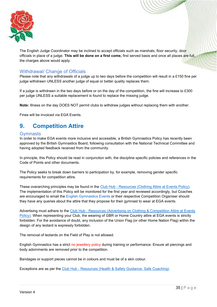![](_page_35_Picture_0.jpeg)

The English Judge Coordinator may be inclined to accept officials such as marshals, floor security, door officials in place of a judge. **This will be done on a first come,** first served basis and once all places are full, the charges above would apply.

### <span id="page-35-0"></span>Withdrawal/ Change of Officials

Please note that any withdrawals of a judge up to two days before the competition will result in a £150 fine per judge withdrawn UNLESS another judge of equal or better quality replaces them.

If a judge is withdrawn in the two days before or on the day of the competition, the fine will increase to £300 per judge UNLESS a suitable replacement is found to replace the missing judge.

**Note:** Illness on the day DOES NOT permit clubs to withdraw judges without replacing them with another.

Fines will be invoiced via EGA Events.

### <span id="page-35-1"></span>**9. Competition Attire**

### <span id="page-35-2"></span>**Gymnasts**

In order to make EGA events more inclusive and accessible, a British Gymnastics Policy has recently been approved by the British Gymnastics Board, following consultation with the National Technical Committee and having adopted feedback received from the community.

In principle, this Policy should be read in conjunction with, the discipline specific policies and references in the Code of Points and other documents.

The Policy seeks to break down barriers to participation by, for example, removing gender specific requirements for competition attire.

These overarching principles may be found in the Club Hub - [Resources \(Clothing Attire at Events Policy\).](https://clubhub-resources.british-gymnastics.org/lessons/clothing-attire-at-events-policy-v1/) The implementation of this Policy will be monitored for the first year and reviewed accordingly, but Coaches are encouraged to email the [English Gymnastics Events](mailto:engevents@englishgymnastics.org.uk) or their respective Competition Organiser should they have any queries about the attire that they propose for their gymnast to wear at EGA events.

Advertising must adhere to the Club Hub - [Resources \(Advertising on Clothing & Competition Attire at Events](https://clubhub-resources.british-gymnastics.org/lessons/advertising-on-competition-clothing-attire-at-events-v1/)  [Policy\).](https://clubhub-resources.british-gymnastics.org/lessons/advertising-on-competition-clothing-attire-at-events-v1/) When representing your Club, the wearing of GBR or Home Country attire at EGA events is strictly forbidden. For the avoidance of doubt, any inclusion of the Union Flag (or other Home Nation Flag) within the design of any leotard is expressly forbidden.

The removal of leotards on the Field of Play is not allowed.

English Gymnastics has a strict no jewellery policy during training or performance. Ensure all piercings and body adornments are removed prior to the competition.

Bandages or support pieces cannot be in colours and must be of a skin colour.

Exceptions are as per the Club Hub - [Resources \(Health & Safety Guidance: Safe Coaching\)](https://clubhub-resources.british-gymnastics.org/lessons/health-and-safety-guidance-safe-coaching/)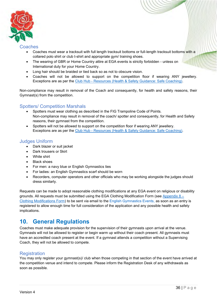![](_page_36_Picture_0.jpeg)

### <span id="page-36-0"></span>Coaches

- Coaches must wear a tracksuit with full length tracksuit bottoms or full-length tracksuit bottoms with a collared polo shirt or club t-shirt and appropriate gym/ training shoes.
- The wearing of GBR or Home Country attire at EGA events is strictly forbidden unless on International duty for your Home Country.
- Long hair should be braided or tied back so as not to obscure vision.
- Coaches will not be allowed to support on the competition floor if wearing ANY jewellery. Exceptions are as per the Club Hub - [Resources \(Health & Safety Guidance: Safe Coaching\).](https://clubhub-resources.british-gymnastics.org/lessons/health-and-safety-guidance-safe-coaching/)

Non-compliance may result in removal of the Coach and consequently, for health and safety reasons, their Gymnast(s) from the competition.

### <span id="page-36-1"></span>Spotters/ Competition Marshals

- Spotters must wear clothing as described in the FIG Trampoline Code of Points. Non-compliance may result in removal of the coach/ spotter and consequently, for Health and Safety reasons, their gymnast from the competition.
- Spotters will not be allowed to support on the competition floor if wearing ANY jewellery. Exceptions are as per the Club Hub - [Resources \(Health & Safety Guidance: Safe Coaching\).](https://clubhub-resources.british-gymnastics.org/lessons/health-and-safety-guidance-safe-coaching/)

### <span id="page-36-2"></span>Judges Uniform

- Dark blazer or suit jacket
- Dark trousers or Skirt
- White shirt
- **Black shoes**
- For men: a navy blue or English Gymnastics ties
- For ladies: an English Gymnastics scarf should be worn
- Recorders, computer operators and other officials who may be working alongside the judges should dress similarly.

Requests can be made to adopt reasonable clothing modifications at any EGA event on religious or disability grounds. All requests must be submitted using the EGA Clothing Modification Form (see Appendix  $8 -$ [Clothing Modifications Form\)](#page-54-0) to be sent via email to the [English Gymnastics Events,](mailto:engevents@englishgymnastics.org.uk) as soon as an entry is registered to allow enough time for full consideration of the application and any possible health and safety implications.

### <span id="page-36-3"></span>**10. General Regulations**

Coaches must make adequate provision for the supervision of their gymnasts upon arrival at the venue. Gymnasts will not be allowed to register or begin warm up without their coach present. All gymnasts must have an accredited coach present at the event. If a gymnast attends a competition without a Supervising Coach, they will not be allowed to compete.

### <span id="page-36-4"></span>**Registration**

You may only register your gymnast(s)/ club when those competing in that section of the event have arrived at the competition venue and intend to compete. Please inform the Registration Desk of any withdrawals as soon as possible.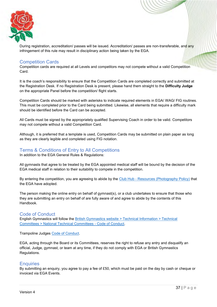![](_page_37_Picture_0.jpeg)

During registration, accreditation/ passes will be issued. Accreditation/ passes are non-transferable, and any infringement of this rule may result in disciplinary action being taken by the EGA.

### <span id="page-37-0"></span>Competition Cards

Competition cards are required at all Levels and competitors may not compete without a valid Competition Card.

It is the coach's responsibility to ensure that the Competition Cards are completed correctly and submitted at the Registration Desk. If no Registration Desk is present, please hand them straight to the **Difficulty Judge** on the appropriate Panel before the competition/ flight starts.

Competition Cards should be marked with asterisks to indicate required elements in EGA/ WAG/ FIG routines. This must be completed prior to the Card being submitted. Likewise, all elements that require a difficulty mark should be identified before the Card can be accepted.

All Cards must be signed by the appropriately qualified Supervising Coach in order to be valid. Competitors may not compete without a valid Competition Card.

Although, it is preferred that a template is used, Competition Cards may be submitted on plain paper as long as they are clearly legible and completed using FIG notation.

### <span id="page-37-1"></span>Terms & Conditions of Entry to All Competitions

In addition to the EGA General Rules & Regulations:

All gymnasts that agree to be treated by the EGA appointed medical staff will be bound by the decision of the EGA medical staff in relation to their suitability to compete in the competition.

By entering the competition, you are agreeing to abide by the Club Hub - [Resources \(Photography Policy\)](https://clubhub-resources.british-gymnastics.org/lessons/photography-policy-v1/) that the EGA have adopted.

The person making the online entry on behalf of gymnast(s), or a club undertakes to ensure that those who they are submitting an entry on behalf of are fully aware of and agree to abide by the contents of this Handbook.

### <span id="page-37-2"></span>Code of Conduct

English Gymnastics will follow the [British Gymnastics website > Technical Information > Technical](https://www.british-gymnastics.org/technical-information/technical-committees/tumbling)  [Committees > National Technical Committees -](https://www.british-gymnastics.org/technical-information/technical-committees/tumbling) Code of Conduct.

Trampoline Judges [Code of Conduct.](https://www.british-gymnastics.org/documents/regions-and-home-countries/england/7831-trampoline-judges-code-of-conduct/file)

EGA, acting through the Board or its Committees, reserves the right to refuse any entry and disqualify an official, Judge, gymnast, or team at any time, if they do not comply with EGA or British Gymnastics Regulations.

### <span id="page-37-3"></span>**Enquiries**

By submitting an enquiry, you agree to pay a fee of £50, which must be paid on the day by cash or cheque or invoiced via EGA Events.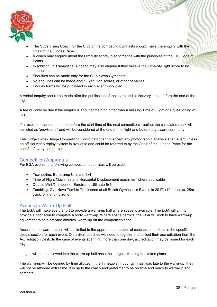![](_page_38_Picture_0.jpeg)

- The Supervising Coach for the Club of the competing gymnasts should make the enquiry with the Chair of the Judges Panel.
- A coach may enquire about the Difficulty score, in accordance with the principles of the FIG Code of Points.
- In addition, in Trampoline, a coach may also enquire if they believe the Time-of-Flight score to be inaccurate.
- Enquiries can be made only for the Club's own Gymnasts.
- No enquiries can be made about Execution scores, or other penalties.
- Enquiry forms will be published in each event work plan.

A verbal enquiry should be made after the publication of the score and at the very latest before the end of the flight.

A fee will only be due if the enquiry is about something other than a missing Time of Flight or a questioning of DD.

If a resolution cannot be made before the start time of the next competitors' routine, the calculated mark will be listed as 'provisional' and will be considered at the end of the flight and before any award ceremony.

The Judge Panel/ Judge Competition Coordinator cannot accept any photographic analysis at an event unless an official video replay system is available and could be referred to by the Chair of the Judges Panel for the benefit of every competitor.

### <span id="page-38-0"></span>Competition Apparatus

For EGA events, the following competition apparatus will be used:

- Trampoline: Eurotramp Ultimate 4x4
- Time of Flight Machines and Horizontal Displacement machines, where applicable
- Double Mini-Trampoline: Eurotramp Ultimate 6x6
- Tumbling: GymNova Tumble Track seen at all British Gymnastics Events in 2017, (10m run up, 25m track, 6m landing zone)

### <span id="page-38-1"></span>Access to Warm-Up Hall

The EGA will make every effort to provide a warm-up hall where space is available. The EGA will aim to provide a floor area to complete a body warm-up. Where space permits, the EGA will look to have warm-up equipment to help prepare athletes' warm-up off the competition floor.

Access to the warm-up hall will be limited to the appropriate number of coaches as defined in the specific details section for each event. On arrival, coaches will need to register and collect their accreditation from the Accreditation Desk. In the case of events spanning more than one day, accreditation may be issued for each day.

Judges will not be allowed into the warm-up hall once the Judges' Meeting has taken place.

The warm-up will be defined by time allotted in the Timetable. If your gymnast was late to the warm-up, they will not be afforded extra time. It is up to the coach and performer to be on time and ready to warm-up and compete.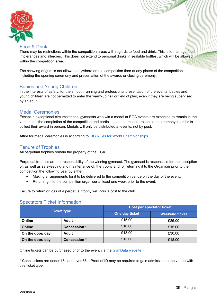![](_page_39_Picture_0.jpeg)

### <span id="page-39-0"></span>Food & Drink

There may be restrictions within the competition areas with regards to food and drink. This is to manage food intolerances and allergies. This does not extend to personal drinks in sealable bottles, which will be allowed within the competition area.

The chewing of gum is not allowed anywhere on the competition floor at any phase of the competition, including the opening ceremony and presentation of the awards or closing ceremony.

### <span id="page-39-1"></span>Babies and Young Children

In the interests of safety, for the smooth running and professional presentation of the events, babies and young children are not permitted to enter the warm-up hall or field of play, even if they are being supervised by an adult.

### <span id="page-39-2"></span>Medal Ceremonies

Except in exceptional circumstances, gymnasts who win a medal at EGA events are expected to remain in the venue until the completion of the competition and participate in the medal presentation ceremony in order to collect their award in person. Medals will only be distributed at events, not by post.

Attire for medal ceremonies is according to [FIG Rules for World Championships.](https://www.gymnastics.sport/site/rules/)

### <span id="page-39-3"></span>Tenure of Trophies

All perpetual trophies remain the property of the EGA.

Perpetual trophies are the responsibility of the winning gymnast. The gymnast is responsible for the inscription of, as well as safekeeping and maintenance of, the trophy and for returning it to the Organiser prior to the competition the following year by either:

- Making arrangements for it to be delivered to the competition venue on the day of the event.
- Returning it to the competition organiser at least one week prior to the event.

Failure to return or loss of a perpetual trophy will incur a cost to the club.

### <span id="page-39-4"></span>Spectators Ticket Information

| <b>Ticket type</b> |                    | <b>Cost per spectator ticket</b> |                       |  |
|--------------------|--------------------|----------------------------------|-----------------------|--|
|                    |                    | One day ticket                   | <b>Weekend ticket</b> |  |
| Online             | <b>Adult</b>       | £15.00                           | £25.00                |  |
| Online             | <b>Concession*</b> | £10.00                           | £15.00                |  |
| On the door/ day   | <b>Adult</b>       | £18.00                           | £30.00                |  |
| On the door/ day   | Concession *       | £13.00                           | £18.00                |  |

Online tickets can be purchased prior to the event via the [GymData website.](https://www.gymdata.co.uk/)

\* Concessions are under 16s and over 65s. Proof of ID may be required to gain admission to the venue with this ticket type.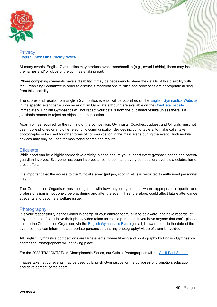![](_page_40_Picture_0.jpeg)

### <span id="page-40-0"></span>**Privacy** [English Gymnastics Privacy Notice.](https://www.british-gymnastics.org/documents/regions-and-home-countries/england/11349-english-gymnastics-privacy-notice-april-2020-final/file)

At many events, English Gymnastics may produce event merchandise (e.g., event t-shirts), these may include the names and/ or clubs of the gymnasts taking part.

Where competing gymnasts have a disability, it may be necessary to share the details of this disability with the Organising Committee in order to discuss if modifications to rules and processes are appropriate arising from this disability.

The scores and results from English Gymnastics events, will be published on the [English Gymnastics Website](https://www.british-gymnastics.org/england/mens-and-womens-english-championships) in the specific event page upon receipt from GymData although are available on the [GymData website](https://www.gymdata.co.uk/) immediately. English Gymnastics will not redact your details from the published results unless there is a justifiable reason to reject an objection to publication.

Apart from as required for the running of the competition, Gymnasts, Coaches, Judges, and Officials must not use mobile phones or any other electronic communication devices including tablets, to make calls, take photographs or be used for other forms of communication in the main arena during the event. Such mobile devices may only be used for monitoring scores and results.

### <span id="page-40-1"></span>**Etiquette**

While sport can be a highly competitive activity, please ensure you support every gymnast, coach and parent/ guardian involved. Everyone has been involved at some point and every competition/ event is a celebration of those efforts.

It is important that the access to the 'Official's area' (judges, scoring etc.) is restricted to authorised personnel only.

The Competition Organiser has the right to withdraw any entry/ entries where appropriate etiquette and professionalism is not upheld before, during and after the event. This, therefore, could affect future attendance at events and become a welfare issue.

### <span id="page-40-2"></span>**Photography**

It is your responsibility as the Coach in charge of your entered team/ club to be aware, and have records, of anyone that can/ can't have their photo/ video taken for media purposes. If you have anyone that can't, please ensure the Competition Organiser, via the [English Gymnastics Events](mailto:engevents@englishgymnastics.org.uk) email, is aware prior to the date of the event so they can inform the appropriate persons so that any photography/ video of them is avoided.

All English Gymnastics competitions are large events, where filming and photography by English Gymnastics accredited Photographers will be taking place.

For the 2022 TRA/ DMT/ TUM Championship Series, our Official Photographer will be [Cecil Paul Studios.](https://www.cecilpaulstudios.co.uk/)

Images taken at our events may be used by English Gymnastics for the purposes of promotion, education, and development of the sport.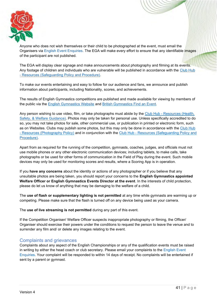![](_page_41_Picture_0.jpeg)

Anyone who does not wish themselves or their child to be photographed at the event, must email the Organisers via [English Event Enquiries.](mailto:engevents@englishgymnastics.org.uk) The EGA will make every effort to ensure that any identifiable images of the participant are not published.

The EGA will display clear signage and make announcements about photography and filming at its events. Any footage of children and individuals who are vulnerable will be published in accordance with the [Club Hub](https://clubhub-resources.british-gymnastics.org/lessons/safeguarding-policy-and-procedure/)  - [Resources \(Safeguarding Policy and Procedure\).](https://clubhub-resources.british-gymnastics.org/lessons/safeguarding-policy-and-procedure/)

To make our events entertaining and easy to follow for our audience and fans, we announce and publish information about participants, including Nationality, scores, and achievements.

The results of English Gymnastics competitions are published and made available for viewing by members of the public via the [English Gymnastics Website](https://www.british-gymnastics.org/england/mens-and-womens-english-championships) and [British Gymnastics](https://www.british-gymnastics.org/find-an-event) Find an Event.

Any person wishing to use video, film, or take photographs must abide by the Club Hub - [Resources \(Health,](https://clubhub-resources.british-gymnastics.org/courses/policies-and-procedures)  [Safety, & Welfare Guidance\).](https://clubhub-resources.british-gymnastics.org/courses/policies-and-procedures) Photos may only be taken for personal use. Unless specifically accredited to do so, you may not take photos for sale, other commercial use, or publication in printed or electronic form, such as on Websites. Clubs may publish some photos, but this may only be done in accordance with the [Club Hub](https://clubhub-resources.british-gymnastics.org/lessons/photography-policy-v1/)  - [Resources \(Photography Policy\)](https://clubhub-resources.british-gymnastics.org/lessons/photography-policy-v1/) and in conjunction with the Club Hub - [Resources \(Safeguarding Policy and](https://clubhub-resources.british-gymnastics.org/lessons/safeguarding-policy-and-procedure/)  [Procedure\).](https://clubhub-resources.british-gymnastics.org/lessons/safeguarding-policy-and-procedure/)

Apart from as required for the running of the competition, gymnasts, coaches, judges, and officials must not use mobile phones or any other electronic communication devices; including tablets, to make calls, take photographs or be used for other forms of communication in the Field of Play during the event. Such mobile devices may only be used for monitoring scores and results, where a Scoring App is in operation.

If you **have any concerns** about the identity or actions of any photographer or if you believe that any unsuitable photos are being taken, you should report your concerns to the **English Gymnastics appointed Welfare Officer or English Gymnastics Events Director at the event**. In the interests of child protection, please do let us know of anything that may be damaging to the welfare of a child.

The **use of flash or supplementary lighting is not permitted** at any time while gymnasts are warming up or competing. Please make sure that the flash is turned off on any device being used as your camera.

The **use of live streaming is not permitted** during any part of this event.

If the Competition Organiser/ Welfare Officer suspects inappropriate photography or filming, the Officer/ Organiser should exercise their powers under the conditions to request the person to leave the venue and to surrender any film and/ or delete any images relating to the event.

### <span id="page-41-0"></span>Complaints and grievances

Complaints about any aspect of the English Championships or any of the qualification events must be raised in writing by either the head coach or club secretary. Please email your complaints to the [English Event](mailto:engevents@englishgymnastics.org.uk)  [Enquiries.](mailto:engevents@englishgymnastics.org.uk) Your complaint will be responded to within 14 days of receipt. No complaints will be entertained if sent by a parent or gymnast.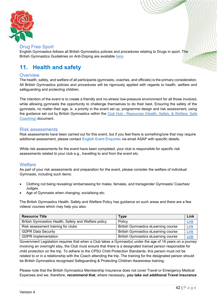![](_page_42_Picture_0.jpeg)

### <span id="page-42-0"></span>Drug Free Sport

English Gymnastics follows all British Gymnastics policies and procedures relating to Drugs in sport. The British Gymnastics Guidelines on Anti-Doping are available [here.](https://www.british-gymnastics.org/technical-information/performance-gymnastics/anti-doping)

### <span id="page-42-1"></span>**11. Health and safety**

### <span id="page-42-2"></span>**Overview**

The health, safety, and welfare of all participants (gymnasts, coaches, and officials) is the primary consideration. All British Gymnastics policies and procedures will be rigorously applied with regards to health, welfare and safeguarding and protecting children.

The intention of the event is to create a friendly and no-stress/ low-pressure environment for all those involved, while allowing gymnasts the opportunity to challenge themselves to do their best. Ensuring the safety of the gymnasts, no matter their age, is a priority in the event set up, programme design and risk assessment, using the guidance set out by British Gymnastics within the Club Hub - [Resources \(Health, Safety, & Welfare: Safe](https://clubhub-resources.british-gymnastics.org/lessons/health-and-safety-guidance-safe-coaching/)  [Coaching\)](https://clubhub-resources.british-gymnastics.org/lessons/health-and-safety-guidance-safe-coaching/) document.

### <span id="page-42-3"></span>Risk assessments

Risk assessments have been carried out for this event, but if you feel there is something/one that may require additional assessment, please contact [English Event Enquiries](mailto:engevents@englishgymnastics.org.uk) via email ASAP with specific details.

While risk assessments for the event have been completed, your club is responsible for specific risk assessments related to your club e.g., travelling to and from the event etc.

### <span id="page-42-4"></span>**Welfare**

As part of your risk assessments and preparation for the event, please consider the welfare of individual Gymnasts, including such items:

- Clothing not being revealing/ embarrassing for males, females, and transgender Gymnasts/ Coaches/ Judges.
- Age of Gymnasts when changing, socialising etc.

The British Gymnastics Health, Safety and Welfare Policy has guidance on such areas and there are a few videos/ courses which may help you also:

| <b>Resource Title</b>                                | <b>Type</b>                                | Link        |
|------------------------------------------------------|--------------------------------------------|-------------|
| British Gymnastics Health, Safety and Welfare policy | Policy                                     | <b>Link</b> |
| Risk assessment training for clubs                   | <b>British Gymnastics eLearning course</b> | <b>Link</b> |
| <b>GDPR Data Security</b>                            | <b>British Gymnastics eLearning course</b> | <u>Link</u> |
| <b>GDPR Implementation</b>                           | <b>British Gymnastics eLearning course</b> | <u>Link</u> |

Government Legislation requires that when a Club takes a Gymnast(s) under the age of 18 years on a journey involving an overnight stay, the Club must ensure that there is a designated trained person responsible for child protection on the trip. To adhere to the CPSU Child Protection Standards, this person must not be related to or in a relationship with the Coach attending the trip. The training for the designated person should be British Gymnastics recognised Safeguarding & Protecting Children Awareness training.

Please note that the British Gymnastics Membership Insurance does not cover Travel or Emergency Medical Expenses and we, therefore, **recommend that**, where necessary, **you take out additional Travel Insurance**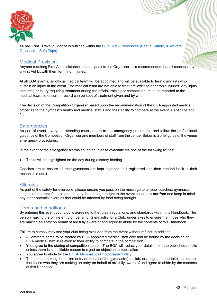![](_page_43_Picture_0.jpeg)

**as required**. Travel guidance is outlined within the Club Hub – [Resources \(Health, Safety, & Welfare](https://clubhub-resources.british-gymnastics.org/lessons/health-safety-and-welfare-guidance-safe-trips/) Guidance – [Safe Trips\).](https://clubhub-resources.british-gymnastics.org/lessons/health-safety-and-welfare-guidance-safe-trips/)

### <span id="page-43-0"></span>Medical Provision

Anyone requiring First Aid assistance should speak to the Organiser. It is recommended that all coaches have a First Aid kit with them for minor injuries.

At all EGA events, an official medical team will be appointed and will be available to treat gymnasts who sustain an injury at the event. The medical team are not able to treat pre-existing or chronic injuries. Any injury occurring or injury requiring treatment during the official training or competition, must be reported to the medical team, to ensure a record can be kept of treatment given and by whom.

The decision of the Competition Organiser based upon the recommendation of the EGA appointed medical officer as to the gymnast's health and medical status and their ability to compete at the event is absolute and final.

### <span id="page-43-1"></span>**Emergencies**

As part of event, everyone attending must adhere to the emergency procedures and follow the professional guidance of the Competition Organiser and members of staff from the venue. Below is a brief guide of the venue emergency procedures.

In the event of the emergency alarms sounding, please evacuate via one of the following routes:

These will be highlighted on the day during a safety briefing

Coaches are to ensure all their gymnasts are kept together until registered and then handed back to their responsible adult.

### <span id="page-43-2"></span>**Allergies**

As part of the safety for everyone, please ensure you pass on the message to all your coaches, gymnasts, judges, and parents/spectators that any food being brought to the event should be **nut free** and keep in mind any other potential allergies that could be affected by food being brought.

### <span id="page-43-3"></span>Terms and conditions

By entering this event your club is agreeing to the rules, regulations, and standards within this Handbook. The person making the online entry on behalf of Gymnast(s) or a Club, undertakes to ensure that those who they are making an entry on behalf of are fully aware of and agree to abide by the contents of this Handbook.

Failure to comply may see your club being excluded from the event without refund. In addition:

- All entrants agree to be treated by EGA appointed medical staff only and be bound by the decision of EGA medical staff in relation to their ability to compete in the competition.
- You agree to the storing of competition scores. The EGA will redact your details from the published results unless there is a justifiable reason to reject an objection to publication.
- You agree to abide by the **British Gymnastics Photography Policy**.
- The person making the online entry on behalf of the gymnast(s), a club, or a region, undertakes to ensure that those who they are making an entry on behalf of are fully aware of and agree to abide by the contents of this Handbook.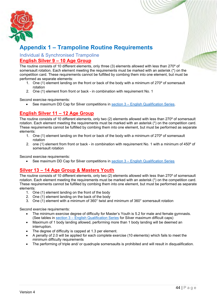![](_page_44_Picture_0.jpeg)

### <span id="page-44-0"></span>**Appendix 1 – Trampoline Routine Requirements**

<span id="page-44-2"></span><span id="page-44-1"></span>Individual & Synchronised Trampoline **English Silver 9 – 10 Age Group**

The routine consists of 10 different elements, only three (3) elements allowed with less than 270º of somersault rotation. Each element meeting the requirements must be marked with an asterisk (\*) on the competition card. These requirements cannot be fulfilled by combing them into one element, but must be performed as separate elements:

- 1. One (1) element landing on the front or back of the body with a minimum of 270º of somersault rotation
- 2. One (1) element from front or back in combination with requirement No. 1

Second exercise requirements:

• See maximum DD Cap for Silver competitions in section 3 – [English Qualification Series.](#page-20-0)

### <span id="page-44-3"></span>**English Silver 11 – 12 Age Group**

The routine consists of 10 different elements, only two (2) elements allowed with less than 270º of somersault rotation. Each element meeting the requirements must be marked with an asterisk (\*) on the competition card. These requirements cannot be fulfilled by combing them into one element, but must be performed as separate elements:

- 1. One (1) element landing on the front or back of the body with a minimum of 270º of somersault rotation
- 2. one (1) element from front or back in combination with requirement No. 1 with a minimum of 450º of somersault rotation

Second exercise requirements:

• See maximum DD Cap for Silver competitions in section 3 – [English Qualification Series](#page-20-0)

### <span id="page-44-4"></span>**Silver 13 – 14 Age Group & Masters Youth**

The routine consists of 10 different elements, only two (2) elements allowed with less than 270º of somersault rotation. Each element meeting the requirements must be marked with an asterisk (\*) on the competition card. These requirements cannot be fulfilled by combing them into one element, but must be performed as separate elements:

- 1. One (1) element landing on the front of the body
- 2. One (1) element landing on the back of the body
- 3. One (1) element with a minimum of 360° twist and minimum of 360° somersault rotation

Second exercise requirements:

- The minimum exercise degree of difficulty for Master's Youth is 5.2 for male and female gymnasts. (See tables in section 3 – [English Qualification Series](#page-20-0) for Silver maximum difficult caps)
- Maximum of 1 body landing allowed, performing more than 1 body landing will be deemed an interruption.
- The degree of difficulty is capped at 1.3 per element.
- A penalty of 2.0 will be applied for each complete exercise (10 elements) which fails to meet the minimum difficulty requirements
- The performing of triple and/ or quadruple somersaults is prohibited and will result in disqualification.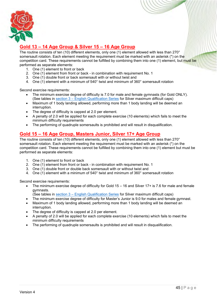![](_page_45_Picture_0.jpeg)

### <span id="page-45-0"></span>**Gold 13 – 14 Age Group & Silver 15 – 16 Age Group**

The routine consists of ten (10) different elements, only one (1) element allowed with less than 270° somersault rotation. Each element meeting the requirement must be marked with an asterisk (\*) on the competition card. These requirements cannot be fulfilled by combining them into one (1) element, but must be performed as separate elements:

- 1. One (1) element to front or back
- 2. One (1) element from front or back in combination with requirement No. 1
- 3. One  $(1)$  double front or back somersault with or without twist and
- 4. One (1) element with a minimum of 540° twist and minimum of 360° somersault rotation

Second exercise requirements:

- The minimum exercise degree of difficulty is 7.0 for male and female gymnasts (for Gold ONLY). (See tables in section 3 – [English Qualification Series](#page-20-0) for Silver maximum difficult caps)
- Maximum of 1 body landing allowed, performing more than 1 body landing will be deemed an interruption.
- The degree of difficulty is capped at 2.0 per element.
- A penalty of 2.0 will be applied for each complete exercise (10 elements) which fails to meet the minimum difficulty requirements
- The performing of quadruple somersaults is prohibited and will result in disqualification.

### <span id="page-45-1"></span>**Gold 15 – 16 Age Group, Masters Junior, Silver 17+ Age Group**

The routine consists of ten (10) different elements, only one (1) element allowed with less than 270° somersault rotation. Each element meeting the requirement must be marked with an asterisk (\*) on the competition card. These requirements cannot be fulfilled by combining them into one (1) element but must be performed as separate elements:

- 1. One (1) element to front or back
- 2. One (1) element from front or back in combination with requirement No. 1
- 3. One (1) double front or double back somersault with or without twist and
- 4. One (1) element with a minimum of 540° twist and minimum of 360° somersault rotation

Second exercise requirements:

- The minimum exercise degree of difficulty for Gold 15 16 and Silver 17+ is 7.6 for male and female gymnasts.
	- (See tables in section 3 [English Qualification Series](#page-20-0) for Silver maximum difficult caps)
- The minimum exercise degree of difficulty for Master's Junior is 9.0 for males and female gymnast.
- Maximum of 1 body landing allowed, performing more than 1 body landing will be deemed an interruption.
- The degree of difficulty is capped at 2.0 per element.
- A penalty of 2.0 will be applied for each complete exercise (10 elements) which fails to meet the minimum difficulty requirements
- The performing of quadruple somersaults is prohibited and will result in disqualification.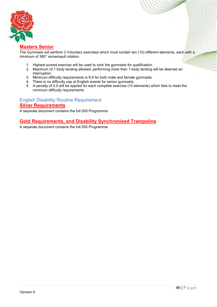![](_page_46_Picture_0.jpeg)

### <span id="page-46-0"></span>**Masters Senior**

The Gymnasts will perform 2 Voluntary exercises which must contain ten (10) different elements, each with a minimum of 360° somersault rotation.

- 1. Highest scored exercise will be used to rank the gymnasts for qualification.
- 2. Maximum of 1 body landing allowed, performing more than 1 body landing will be deemed an interruption.
- 3. Minimum difficulty requirements is 9.6 for both male and female gymnasts.
- 4. There is no difficulty cap at English events for senior gymnasts.
- 5. A penalty of 2.0 will be applied for each complete exercise (10 elements) which fails to meet the minimum difficulty requirements

### <span id="page-46-2"></span><span id="page-46-1"></span>English Disability Routine Requirement **Silver Requirements**

A separate document contains the full DIS Programme.

### <span id="page-46-3"></span>**Gold Requirements, and Disability Synchronised Trampoline**

A separate document contains the full DIS Programme.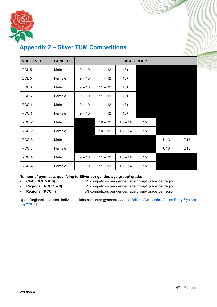![](_page_47_Picture_0.jpeg)

# **NDP LEVEL GENDER AGE GROUP** CCL 5 | Male |  $9 - 10$  |  $11 - 12$  |  $13 +$ CCL 5 | Female |  $9 - 10$  |  $11 - 12$  |  $13 +$  $CCL 6$  | Male |  $9-10$  |  $11-12$  |  $13+$ CCL 6  $\vert$  Female  $\vert$  9 – 10  $\vert$  11 – 12  $\vert$  13+ RCC 1 | Male | 9 – 10 | 11 – 12 | 13+

### <span id="page-47-0"></span>**Appendix 2 – Silver TUM Competitions**

| RCC <sub>1</sub> | Male   | $9 - 10$ | $11 - 12$ | $13+$     |       |     |                 |
|------------------|--------|----------|-----------|-----------|-------|-----|-----------------|
| RCC <sub>1</sub> | Female | $9 - 10$ | $11 - 12$ | $13+$     |       |     |                 |
| RCC <sub>2</sub> | Male   |          | $10 - 12$ | $13 - 14$ | $15+$ |     |                 |
| RCC <sub>2</sub> | Female |          | $10 - 12$ | $13 - 14$ | $15+$ |     |                 |
| RCC <sub>3</sub> | Male   |          |           |           |       | U13 | O <sub>13</sub> |
| RCC <sub>3</sub> | Female |          |           |           |       | U13 | O <sub>13</sub> |
| RCC <sub>4</sub> | Male   | $9 - 10$ | $11 - 12$ | $13 - 14$ | $15+$ |     |                 |
| RCC <sub>4</sub> | Female | $9 - 10$ | $11 - 12$ | $13 - 14$ | $15+$ |     |                 |

### **Number of gymnasts qualifying to Silver per gender/ age group/ grade:**

- 
- 
- 
- **Club (CCL 5 & 6)** x2 competitors per gender/ age group/ grade per region • **Regional (RCC 1 – 3)** x2 competitors per gender/ age group/ grade per region
	-
	- **Regional (RCC 4)** x3 competitors per gender/ age group/ grade per region

Upon Regional selection, individual clubs can enter gymnasts via the [British Gymnastics Online Entry System](https://www.british-gymnastics.org/gymnet/)  [\(GymNET\).](https://www.british-gymnastics.org/gymnet/)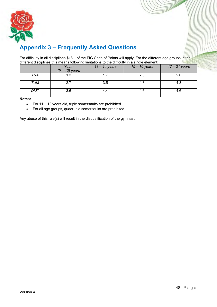![](_page_48_Picture_0.jpeg)

# <span id="page-48-0"></span>**Appendix 3 – Frequently Asked Questions**

For difficulty in all disciplines §18.1 of the FIG Code of Points will apply. For the different age groups in the different disciplines this means following limitations to the difficulty in a single element:

|     | Youth<br>$(9 - 12)$ years | $13 - 14$ years | $15 - 16$ years | $17 - 21$ years |
|-----|---------------------------|-----------------|-----------------|-----------------|
| TRA | 1.3                       |                 | 2.0             |                 |
| TUM | 2.7                       | 3.5             | 4.3             | 4.3             |
| DMT | 3.6                       | 4.4             | 4.6             | 4.6             |

**Notes:**

- For 11 12 years old, triple somersaults are prohibited.
- For all age groups, quadruple somersaults are prohibited.

Any abuse of this rule(s) will result in the disqualification of the gymnast.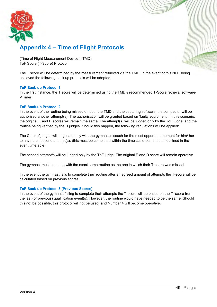![](_page_49_Picture_0.jpeg)

# <span id="page-49-0"></span>**Appendix 4 – Time of Flight Protocols**

(Time of Flight Measurement Device = TMD) ToF Score (T-Score) Protocol

The T score will be determined by the measurement retrieved via the TMD. In the event of this NOT being achieved the following back up protocols will be adopted:

### **ToF Back-up Protocol 1**

In the first instance, the T score will be determined using the TMD's recommended T-Score retrieval software-VTimer.

### **ToF Back-up Protocol 2**

In the event of the routine being missed on both the TMD and the capturing software, the competitor will be authorised another attempt(s). The authorisation will be granted based on 'faulty equipment'. In this scenario, the original E and D scores will remain the same. The attempt(s) will be judged only by the ToF judge, and the routine being verified by the D judges. Should this happen, the following regulations will be applied:

The Chair of judges will negotiate only with the gymnast's coach for the most opportune moment for him/ her to have their second attempt(s), (this must be completed within the time scale permitted as outlined in the event timetable).

The second attempt/s will be judged only by the ToF judge. The original E and D score will remain operative.

The gymnast must compete with the exact same routine as the one in which their T-score was missed.

In the event the gymnast fails to complete their routine after an agreed amount of attempts the T-score will be calculated based on previous scores.

### **ToF Back-up Protocol 3 (Previous Scores)**

In the event of the gymnast failing to complete their attempts the T-score will be based on the T=score from the last (or previous) qualification event(s). However, the routine would have needed to be the same. Should this not be possible, this protocol will not be used, and Number 4 will become operative.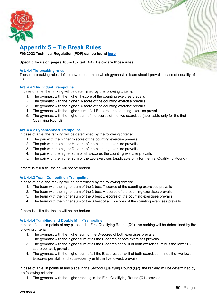![](_page_50_Picture_0.jpeg)

### <span id="page-50-0"></span>**Appendix 5 – Tie Break Rules**

**FIG 2022 Technical Regulation (PDF) can be found [here.](https://www.gymnastics.sport/site/rules/)** 

### **Specific focus on pages 105 – 107 (art. 4.4). Below are those rules:**

#### **Art. 4.4 Tie-breaking rules**

These tie-breaking rules define how to determine which gymnast or team should prevail in case of equality of points.

### **Art. 4.4.1 Individual Trampoline**

In case of a tie, the ranking will be determined by the following criteria:

- 1. The gymnast with the higher T-score of the counting exercise prevails
- 2. The gymnast with the higher H-score of the counting exercise prevails
- 3. The gymnast with the higher D-score of the counting exercise prevails
- 4. The gymnast with the higher sum of all E-scores the counting exercise prevails
- 5. The gymnast with the higher sum of the scores of the two exercises (applicable only for the first Qualifying Round)

#### **Art. 4.4.2 Synchronised Trampoline**

In case of a tie, the ranking will be determined by the following criteria:

- 1. The pair with the higher S-score of the counting exercise prevails
- 2. The pair with the higher H-score of the counting exercise prevails
- 3. The pair with the higher D-score of the counting exercise prevails
- 4. The pair with the higher sum of all E-scores the counting exercise prevails
- 5. The pair with the higher sum of the two exercises (applicable only for the first Qualifying Round)

If there is still a tie, the tie will not be broken.

#### **Art. 4.4.3 Team Competition Trampoline**

In case of a tie, the ranking will be determined by the following criteria:

- 1. The team with the higher sum of the 3 best T-scores of the counting exercises prevails
- 2. The team with the higher sum of the 3 best H-scores of the counting exercises prevails
- 3. The team with the higher sum of the 3 best D-scores of the counting exercises prevails
- 4. The team with the higher sum of the 3 best of all E-scores of the counting exercises prevails

If there is still a tie, the tie will not be broken.

#### **Art. 4.4.4 Tumbling and Double Mini-Trampoline**

In case of a tie, in points at any place in the First Qualifying Round (Q1), the ranking will be determined by the following criteria:

- 1. The gymnast with the higher sum of the D-scores of both exercises prevails
- 2. The gymnast with the higher sum of all the E-scores of both exercises prevails
- 3. The gymnast with the higher sum of all the E-scores per skill of both exercises, minus the lower Escore per skill, prevails
- 4. The gymnast with the higher sum of all the E-scores per skill of both exercises, minus the two lower E-scores per skill, and subsequently until the five lowest, prevails

In case of a tie, in points at any place in the Second Qualifying Round (Q2), the ranking will be determined by the following criteria:

1. The gymnast with the higher ranking in the First Qualifying Round (Q1) prevails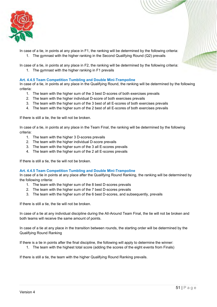![](_page_51_Picture_0.jpeg)

In case of a tie, in points at any place in F1, the ranking will be determined by the following criteria: 1. The gymnast with the higher ranking in the Second Qualifying Round (Q2) prevails

In case of a tie, in points at any place in F2, the ranking will be determined by the following criteria:

1. The gymnast with the higher ranking in F1 prevails

### **Art. 4.4.5 Team Competition Tumbling and Double Mini-Trampoline**

In case of a tie, in points at any place in the Qualifying Round, the ranking will be determined by the following criteria:

- 1. The team with the higher sum of the 3 best D-scores of both exercises prevails
- 2. The team with the higher individual D-score of both exercises prevails
- 3. The team with the higher sum of the 3 best of all E-scores of both exercises prevails
- 4. The team with the higher sum of the 2 best of all E-scores of both exercises prevails

If there is still a tie, the tie will not be broken.

In case of a tie, in points at any place in the Team Final, the ranking will be determined by the following criteria:

- 1. The team with the higher 3 D-scores prevails
- 2. The team with the higher individual D-score prevails
- 3. The team with the higher sum of the 3 all E-scores prevails
- 4. The team with the higher sum of the 2 all E-scores prevails

If there is still a tie, the tie will not be broken.

#### **Art. 4.4.5 Team Competition Tumbling and Double Mini-Trampoline**

In case of a tie in points at any place after the Qualifying Round Ranking, the ranking will be determined by the following criteria:

- 1. The team with the higher sum of the 8 best D-scores prevails
- 2. The team with the higher sum of the 7 best D-scores prevails
- 3. The team with the higher sum of the 6 best D-scores, and subsequently, prevails

If there is still a tie, the tie will not be broken.

In case of a tie at any individual discipline during the All-Around Team Final, the tie will not be broken and both teams will receive the same amount of points.

In case of a tie at any place in the transition between rounds, the starting order will be determined by the Qualifying Round Ranking

If there is a tie in points after the final discipline, the following will apply to determine the winner:

1. The team with the highest total score (adding the scores of the eight events from Finals)

If there is still a tie, the team with the higher Qualifying Round Ranking prevails.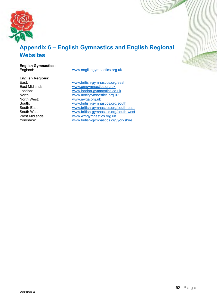![](_page_52_Picture_0.jpeg)

# <span id="page-52-0"></span>**Appendix 6 – English Gymnastics and English Regional Websites**

# **English Gymnastics:**

# **English Regions:**

[www.englishgymnastics.org.uk](http://www.englishgymnastics.org.uk/)

East: East: East: [www.british-gymnastics.org/east](http://www.british-gymnastics.org/east)<br>East Midlands: www.emgymnastics.org.uk East Midlands: [www.emgymnastics.org.uk](http://www.emgymnastics.org.uk/)<br>
London: www.london-gymnastics.co London: [www.london-gymnastics.co.uk](http://www.london-gymnastics.co.uk/) North: [www.northgymnastics.org.uk](http://www.northgymnastics.org.uk/) [www.nwga.org.uk](http://www.nwga.org.uk/) South: [www.british-gymnastics.org/south](http://www.british-gymnastics.org/south)<br>South East: www.british-gymnastics.org/south-South East: [www.british-gymnastics.org/south-east](http://www.british-gymnastics.org/south-east) South West: [www.british-gymnastics.org/south-west](http://www.british-gymnastics.org/south-west) West Midlands: [www.wmgymnastics.org.uk](http://www.wmgymnastics.org.uk/)<br>Yorkshire: www.british-aymnastics.org [www.british-gymnastics.org/yorkshire](http://www.british-gymnastics.org/yorkshire)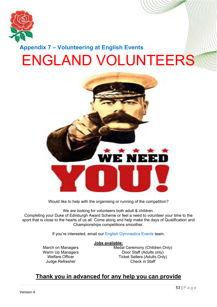![](_page_53_Picture_0.jpeg)

<span id="page-53-0"></span>![](_page_53_Picture_1.jpeg)

Would like to help with the organising or running of the competition?

We are looking for volunteers both adult & children. Completing your Duke of Edinburgh Award Scheme or feel a need to volunteer your time to the sport that is close to the hearts of us all. Come along and help make the days of Qualification and Championships competitions smoother.

If you're interested, email our [English Gymnastics Events](mailto:engevents@englishgymnastics.org.uk) team.

### **Jobs available:**

March on Managers Warm Up Managers Welfare Officer Judge Refresher

Medal Ceremony (Children Only) Door Staff (Adults only) Ticket Sellers (Adults Only) Check in Staff

# **Thank you in advanced for any help you can provide**